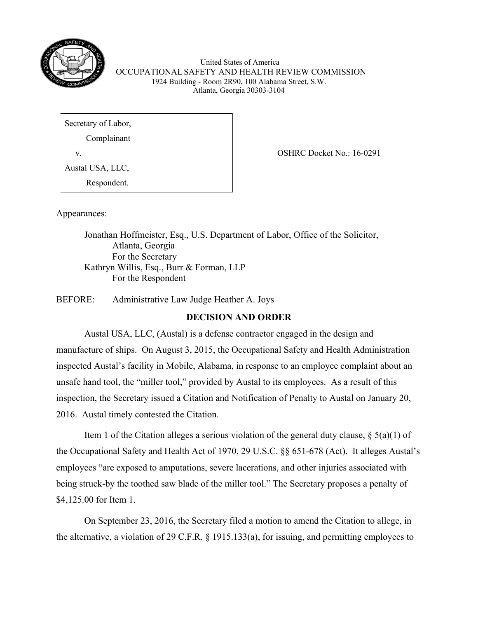

United States of America OCCUPATIONAL SAFETY AND HEALTH REVIEW COMMISSION 1924 Building - Room 2R90, 100 Alabama Street, S.W. Atlanta, Georgia 30303-3104

Secretary of Labor,

Complainant

Austal USA, LLC,

Respondent.

v. COSHRC Docket No.: 16-0291

Appearances:

Jonathan Hoffmeister, Esq., U.S. Department of Labor, Office of the Solicitor, Atlanta, Georgia For the Secretary Kathryn Willis, Esq., Burr & Forman, LLP For the Respondent

BEFORE: Administrative Law Judge Heather A. Joys

# **DECISION AND ORDER**

Austal USA, LLC, (Austal) is a defense contractor engaged in the design and manufacture of ships. On August 3, 2015, the Occupational Safety and Health Administration inspected Austal's facility in Mobile, Alabama, in response to an employee complaint about an unsafe hand tool, the "miller tool," provided by Austal to its employees. As a result of this inspection, the Secretary issued a Citation and Notification of Penalty to Austal on January 20, 2016. Austal timely contested the Citation.

Item 1 of the Citation alleges a serious violation of the general duty clause,  $\S$  5(a)(1) of the Occupational Safety and Health Act of 1970, 29 U.S.C. §§ 651-678 (Act). It alleges Austal's employees "are exposed to amputations, severe lacerations, and other injuries associated with being struck-by the toothed saw blade of the miller tool." The Secretary proposes a penalty of \$4,125.00 for Item 1.

On September 23, 2016, the Secretary filed a motion to amend the Citation to allege, in the alternative, a violation of 29 C.F.R. § 1915.133(a), for issuing, and permitting employees to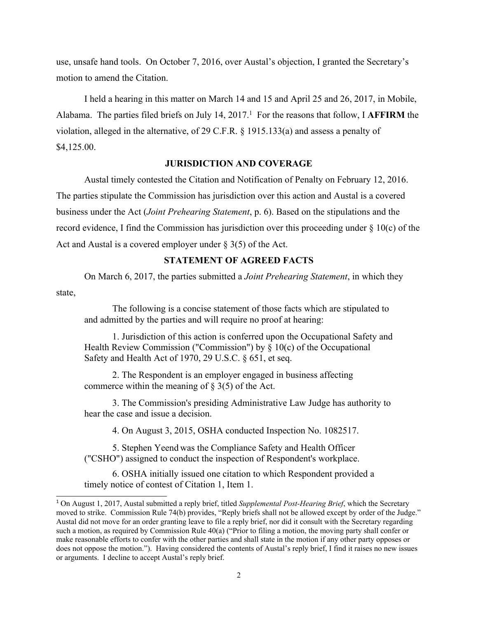use, unsafe hand tools. On October 7, 2016, over Austal's objection, I granted the Secretary's motion to amend the Citation.

I held a hearing in this matter on March 14 and 15 and April 25 and 26, 2017, in Mobile, Alabama. The parties filed briefs on July 14, 2017.<sup>1</sup> For the reasons that follow, I **AFFIRM** the violation, alleged in the alternative, of 29 C.F.R. § 1915.133(a) and assess a penalty of \$4,125.00.

# **JURISDICTION AND COVERAGE**

Austal timely contested the Citation and Notification of Penalty on February 12, 2016. The parties stipulate the Commission has jurisdiction over this action and Austal is a covered business under the Act (*Joint Prehearing Statement*, p. 6). Based on the stipulations and the record evidence, I find the Commission has jurisdiction over this proceeding under  $\S 10(c)$  of the Act and Austal is a covered employer under  $\S 3(5)$  of the Act.

### **STATEMENT OF AGREED FACTS**

On March 6, 2017, the parties submitted a *Joint Prehearing Statement*, in which they state,

The following is a concise statement of those facts which are stipulated to and admitted by the parties and will require no proof at hearing:

1. Jurisdiction of this action is conferred upon the Occupational Safety and Health Review Commission ("Commission") by § 10(c) of the Occupational Safety and Health Act of 1970, 29 U.S.C. § 651, et seq.

2. The Respondent is an employer engaged in business affecting commerce within the meaning of  $\S 3(5)$  of the Act.

3. The Commission's presiding Administrative Law Judge has authority to hear the case and issue a decision.

4. On August 3, 2015, OSHA conducted Inspection No. 1082517.

5. Stephen Yeend was the Compliance Safety and Health Officer ("CSHO") assigned to conduct the inspection of Respondent's workplace.

6. OSHA initially issued one citation to which Respondent provided a timely notice of contest of Citation 1, Item 1.

<sup>1</sup> On August 1, 2017, Austal submitted a reply brief, titled *Supplemental Post-Hearing Brief*, which the Secretary moved to strike. Commission Rule 74(b) provides, "Reply briefs shall not be allowed except by order of the Judge." Austal did not move for an order granting leave to file a reply brief, nor did it consult with the Secretary regarding such a motion, as required by Commission Rule 40(a) ("Prior to filing a motion, the moving party shall confer or make reasonable efforts to confer with the other parties and shall state in the motion if any other party opposes or does not oppose the motion."). Having considered the contents of Austal's reply brief, I find it raises no new issues or arguments. I decline to accept Austal's reply brief.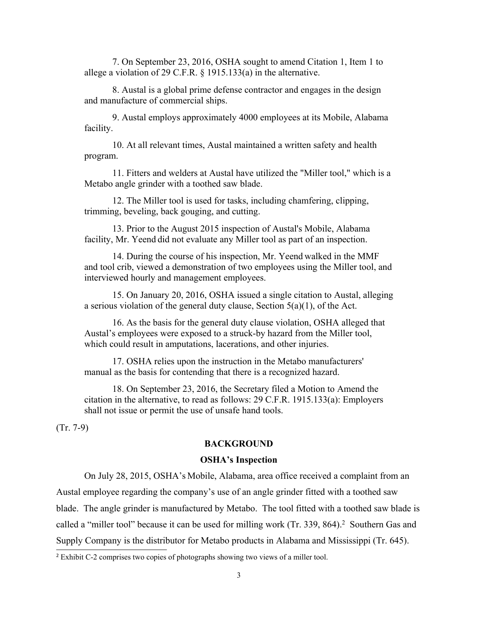7. On September 23, 2016, OSHA sought to amend Citation 1, Item 1 to allege a violation of 29 C.F.R. § 1915.133(a) in the alternative.

8. Austal is a global prime defense contractor and engages in the design and manufacture of commercial ships.

9. Austal employs approximately 4000 employees at its Mobile, Alabama facility.

10. At all relevant times, Austal maintained a written safety and health program.

11. Fitters and welders at Austal have utilized the "Miller tool," which is a Metabo angle grinder with a toothed saw blade.

12. The Miller tool is used for tasks, including chamfering, clipping, trimming, beveling, back gouging, and cutting.

13. Prior to the August 2015 inspection of Austal's Mobile, Alabama facility, Mr. Yeend did not evaluate any Miller tool as part of an inspection.

14. During the course of his inspection, Mr. Yeend walked in the MMF and tool crib, viewed a demonstration of two employees using the Miller tool, and interviewed hourly and management employees.

15. On January 20, 2016, OSHA issued a single citation to Austal, alleging a serious violation of the general duty clause, Section  $5(a)(1)$ , of the Act.

16. As the basis for the general duty clause violation, OSHA alleged that Austal's employees were exposed to a struck-by hazard from the Miller tool, which could result in amputations, lacerations, and other injuries.

17. OSHA relies upon the instruction in the Metabo manufacturers' manual as the basis for contending that there is a recognized hazard.

18. On September 23, 2016, the Secretary filed a Motion to Amend the citation in the alternative, to read as follows: 29 C.F.R. 1915.133(a): Employers shall not issue or permit the use of unsafe hand tools.

(Tr. 7-9)

## **BACKGROUND**

#### **OSHA's Inspection**

On July 28, 2015, OSHA's Mobile, Alabama, area office received a complaint from an Austal employee regarding the company's use of an angle grinder fitted with a toothed saw blade. The angle grinder is manufactured by Metabo. The tool fitted with a toothed saw blade is called a "miller tool" because it can be used for milling work (Tr. 339, 864). <sup>2</sup> Southern Gas and Supply Company is the distributor for Metabo products in Alabama and Mississippi (Tr. 645).

<sup>2</sup> Exhibit C-2 comprises two copies of photographs showing two views of a miller tool.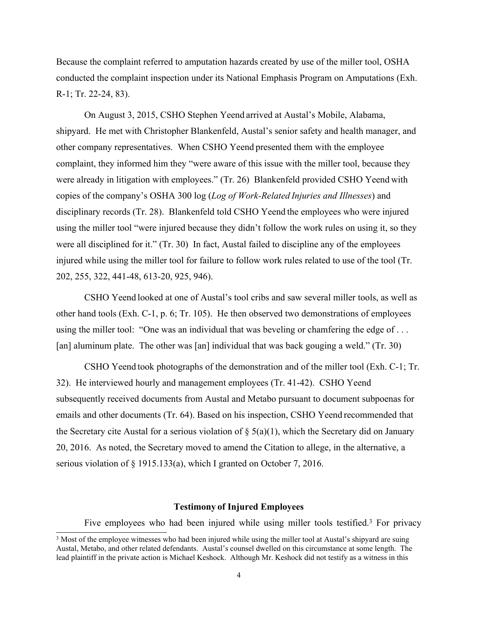Because the complaint referred to amputation hazards created by use of the miller tool, OSHA conducted the complaint inspection under its National Emphasis Program on Amputations (Exh. R-1; Tr. 22-24, 83).

On August 3, 2015, CSHO Stephen Yeend arrived at Austal's Mobile, Alabama, shipyard. He met with Christopher Blankenfeld, Austal's senior safety and health manager, and other company representatives. When CSHO Yeend presented them with the employee complaint, they informed him they "were aware of this issue with the miller tool, because they were already in litigation with employees." (Tr. 26) Blankenfeld provided CSHO Yeend with copies of the company's OSHA 300 log (*Log of Work-Related Injuries and Illnesses*) and disciplinary records (Tr. 28). Blankenfeld told CSHO Yeend the employees who were injured using the miller tool "were injured because they didn't follow the work rules on using it, so they were all disciplined for it." (Tr. 30) In fact, Austal failed to discipline any of the employees injured while using the miller tool for failure to follow work rules related to use of the tool (Tr. 202, 255, 322, 441-48, 613-20, 925, 946).

CSHO Yeend looked at one of Austal's tool cribs and saw several miller tools, as well as other hand tools (Exh. C-1, p. 6; Tr. 105). He then observed two demonstrations of employees using the miller tool: "One was an individual that was beveling or chamfering the edge of ... [an] aluminum plate. The other was [an] individual that was back gouging a weld." (Tr. 30)

CSHO Yeend took photographs of the demonstration and of the miller tool (Exh. C-1; Tr. 32). He interviewed hourly and management employees (Tr. 41-42). CSHO Yeend subsequently received documents from Austal and Metabo pursuant to document subpoenas for emails and other documents (Tr. 64). Based on his inspection, CSHO Yeend recommended that the Secretary cite Austal for a serious violation of  $\S(5a)(1)$ , which the Secretary did on January 20, 2016. As noted, the Secretary moved to amend the Citation to allege, in the alternative, a serious violation of § 1915.133(a), which I granted on October 7, 2016.

#### **Testimony of Injured Employees**

Five employees who had been injured while using miller tools testified.<sup>3</sup> For privacy

<sup>&</sup>lt;sup>3</sup> Most of the employee witnesses who had been injured while using the miller tool at Austal's shipyard are suing Austal, Metabo, and other related defendants. Austal's counsel dwelled on this circumstance at some length. The lead plaintiff in the private action is Michael Keshock. Although Mr. Keshock did not testify as a witness in this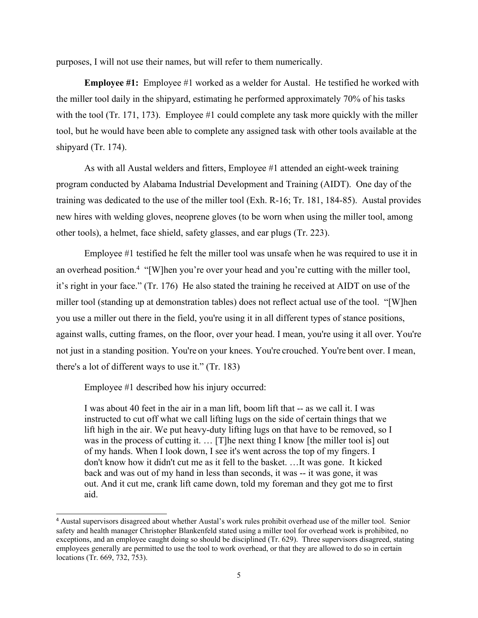purposes, I will not use their names, but will refer to them numerically.

**Employee #1:** Employee #1 worked as a welder for Austal. He testified he worked with the miller tool daily in the shipyard, estimating he performed approximately 70% of his tasks with the tool (Tr. 171, 173). Employee #1 could complete any task more quickly with the miller tool, but he would have been able to complete any assigned task with other tools available at the shipyard (Tr. 174).

As with all Austal welders and fitters, Employee #1 attended an eight-week training program conducted by Alabama Industrial Development and Training (AIDT). One day of the training was dedicated to the use of the miller tool (Exh. R-16; Tr. 181, 184-85). Austal provides new hires with welding gloves, neoprene gloves (to be worn when using the miller tool, among other tools), a helmet, face shield, safety glasses, and ear plugs (Tr. 223).

Employee #1 testified he felt the miller tool was unsafe when he was required to use it in an overhead position.<sup>4</sup> "[W]hen you're over your head and you're cutting with the miller tool, it's right in your face." (Tr. 176) He also stated the training he received at AIDT on use of the miller tool (standing up at demonstration tables) does not reflect actual use of the tool. "[W]hen you use a miller out there in the field, you're using it in all different types of stance positions, against walls, cutting frames, on the floor, over your head. I mean, you're using it all over. You're not just in a standing position. You're on your knees. You're crouched. You're bent over. I mean, there's a lot of different ways to use it." (Tr. 183)

Employee #1 described how his injury occurred:

I was about 40 feet in the air in a man lift, boom lift that -- as we call it. I was instructed to cut off what we call lifting lugs on the side of certain things that we lift high in the air. We put heavy-duty lifting lugs on that have to be removed, so I was in the process of cutting it. ... [T]he next thing I know [the miller tool is] out of my hands. When I look down, I see it's went across the top of my fingers. I don't know how it didn't cut me as it fell to the basket. …It was gone. It kicked back and was out of my hand in less than seconds, it was -- it was gone, it was out. And it cut me, crank lift came down, told my foreman and they got me to first aid.

<sup>4</sup> Austal supervisors disagreed about whether Austal's work rules prohibit overhead use of the miller tool. Senior safety and health manager Christopher Blankenfeld stated using a miller tool for overhead work is prohibited, no exceptions, and an employee caught doing so should be disciplined (Tr. 629). Three supervisors disagreed, stating employees generally are permitted to use the tool to work overhead, or that they are allowed to do so in certain locations (Tr. 669, 732, 753).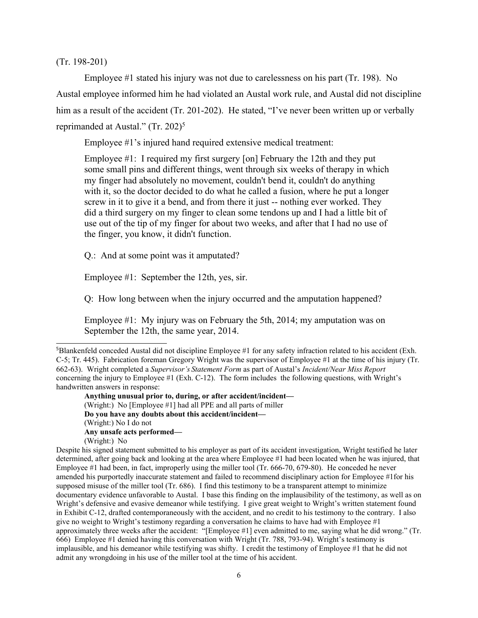(Tr. 198-201)

Employee #1 stated his injury was not due to carelessness on his part (Tr. 198). No Austal employee informed him he had violated an Austal work rule, and Austal did not discipline him as a result of the accident (Tr. 201-202). He stated, "I've never been written up or verbally reprimanded at Austal." (Tr. 202)<sup>5</sup>

Employee #1's injured hand required extensive medical treatment:

Employee #1: I required my first surgery [on] February the 12th and they put some small pins and different things, went through six weeks of therapy in which my finger had absolutely no movement, couldn't bend it, couldn't do anything with it, so the doctor decided to do what he called a fusion, where he put a longer screw in it to give it a bend, and from there it just -- nothing ever worked. They did a third surgery on my finger to clean some tendons up and I had a little bit of use out of the tip of my finger for about two weeks, and after that I had no use of the finger, you know, it didn't function.

Q.: And at some point was it amputated?

Employee #1: September the 12th, yes, sir.

Q: How long between when the injury occurred and the amputation happened?

Employee #1: My injury was on February the 5th, 2014; my amputation was on September the 12th, the same year, 2014.

<sup>5</sup>Blankenfeld conceded Austal did not discipline Employee #1 for any safety infraction related to his accident (Exh. C-5; Tr. 445). Fabrication foreman Gregory Wright was the supervisor of Employee #1 at the time of his injury (Tr. 662-63). Wright completed a *Supervisor's Statement Form* as part of Austal's *Incident/Near Miss Report* concerning the injury to Employee #1 (Exh. C-12). The form includes the following questions, with Wright's handwritten answers in response:

**Anything unusual prior to, during, or after accident/incident—** (Wright:) No [Employee #1] had all PPE and all parts of miller **Do you have any doubts about this accident/incident—** (Wright:) No I do not **Any unsafe acts performed—**

<sup>(</sup>Wright:) No Despite his signed statement submitted to his employer as part of its accident investigation, Wright testified he later determined, after going back and looking at the area where Employee #1 had been located when he was injured, that Employee #1 had been, in fact, improperly using the miller tool (Tr. 666-70, 679-80). He conceded he never amended his purportedly inaccurate statement and failed to recommend disciplinary action for Employee #1for his supposed misuse of the miller tool (Tr. 686). I find this testimony to be a transparent attempt to minimize documentary evidence unfavorable to Austal. I base this finding on the implausibility of the testimony, as well as on Wright's defensive and evasive demeanor while testifying. I give great weight to Wright's written statement found in Exhibit C-12, drafted contemporaneously with the accident, and no credit to his testimony to the contrary. I also give no weight to Wright's testimony regarding a conversation he claims to have had with Employee  $#1$ approximately three weeks after the accident: "[Employee #1] even admitted to me, saying what he did wrong." (Tr. 666) Employee #1 denied having this conversation with Wright (Tr. 788, 793-94). Wright's testimony is implausible, and his demeanor while testifying was shifty. I credit the testimony of Employee #1 that he did not admit any wrongdoing in his use of the miller tool at the time of his accident.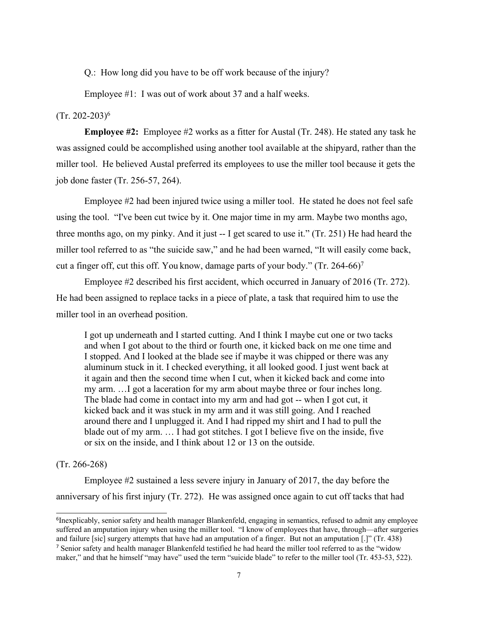Q.: How long did you have to be off work because of the injury?

Employee #1: I was out of work about 37 and a half weeks.

# (Tr. 202-203)<sup>6</sup>

**Employee #2:** Employee #2 works as a fitter for Austal (Tr. 248). He stated any task he was assigned could be accomplished using another tool available at the shipyard, rather than the miller tool. He believed Austal preferred its employees to use the miller tool because it gets the job done faster (Tr. 256-57, 264).

Employee #2 had been injured twice using a miller tool. He stated he does not feel safe using the tool. "I've been cut twice by it. One major time in my arm. Maybe two months ago, three months ago, on my pinky. And it just -- I get scared to use it." (Tr. 251) He had heard the miller tool referred to as "the suicide saw," and he had been warned, "It will easily come back, cut a finger off, cut this off. You know, damage parts of your body." (Tr. 264-66)<sup>7</sup>

Employee #2 described his first accident, which occurred in January of 2016 (Tr. 272). He had been assigned to replace tacks in a piece of plate, a task that required him to use the miller tool in an overhead position.

I got up underneath and I started cutting. And I think I maybe cut one or two tacks and when I got about to the third or fourth one, it kicked back on me one time and I stopped. And I looked at the blade see if maybe it was chipped or there was any aluminum stuck in it. I checked everything, it all looked good. I just went back at it again and then the second time when I cut, when it kicked back and come into my arm. …I got a laceration for my arm about maybe three or four inches long. The blade had come in contact into my arm and had got -- when I got cut, it kicked back and it was stuck in my arm and it was still going. And I reached around there and I unplugged it. And I had ripped my shirt and I had to pull the blade out of my arm. … I had got stitches. I got I believe five on the inside, five or six on the inside, and I think about 12 or 13 on the outside.

## (Tr. 266-268)

Employee #2 sustained a less severe injury in January of 2017, the day before the anniversary of his first injury (Tr. 272). He was assigned once again to cut off tacks that had

<sup>&</sup>lt;sup>6</sup>Inexplicably, senior safety and health manager Blankenfeld, engaging in semantics, refused to admit any employee suffered an amputation injury when using the miller tool. "I know of employees that have, through—after surgeries and failure [sic] surgery attempts that have had an amputation of a finger. But not an amputation [.]" (Tr. 438) <sup>7</sup> Senior safety and health manager Blankenfeld testified he had heard the miller tool referred to as the "widow" maker," and that he himself "may have" used the term "suicide blade" to refer to the miller tool (Tr. 453-53, 522).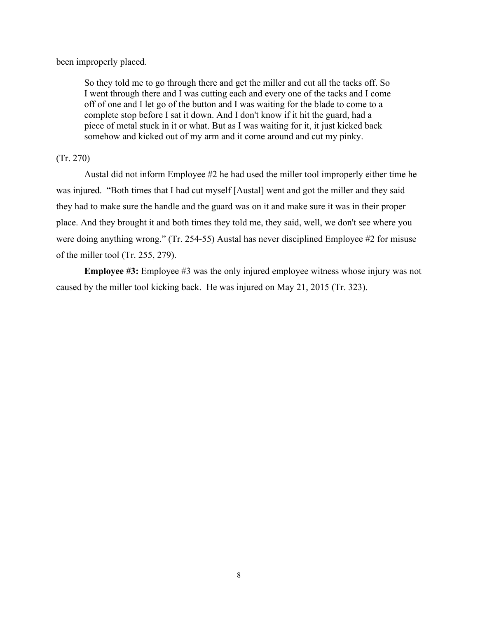been improperly placed.

So they told me to go through there and get the miller and cut all the tacks off. So I went through there and I was cutting each and every one of the tacks and I come off of one and I let go of the button and I was waiting for the blade to come to a complete stop before I sat it down. And I don't know if it hit the guard, had a piece of metal stuck in it or what. But as I was waiting for it, it just kicked back somehow and kicked out of my arm and it come around and cut my pinky.

# (Tr. 270)

Austal did not inform Employee #2 he had used the miller tool improperly either time he was injured. "Both times that I had cut myself [Austal] went and got the miller and they said they had to make sure the handle and the guard was on it and make sure it was in their proper place. And they brought it and both times they told me, they said, well, we don't see where you were doing anything wrong." (Tr. 254-55) Austal has never disciplined Employee #2 for misuse of the miller tool (Tr. 255, 279).

**Employee #3:** Employee #3 was the only injured employee witness whose injury was not caused by the miller tool kicking back. He was injured on May 21, 2015 (Tr. 323).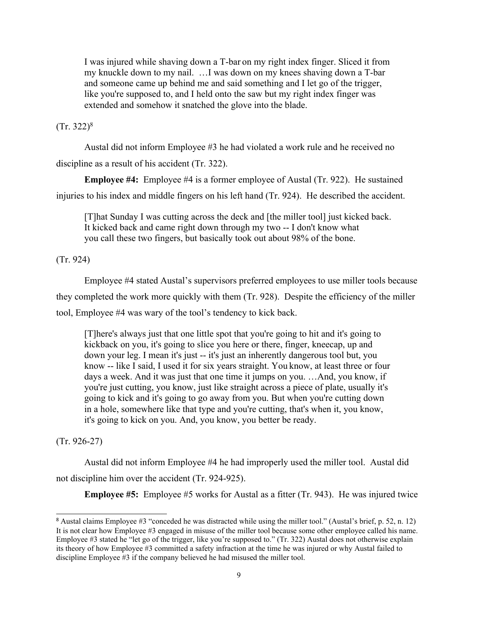I was injured while shaving down a T-bar on my right index finger. Sliced it from my knuckle down to my nail. …I was down on my knees shaving down a T-bar and someone came up behind me and said something and I let go of the trigger, like you're supposed to, and I held onto the saw but my right index finger was extended and somehow it snatched the glove into the blade.

### $(Tr. 322)^8$

Austal did not inform Employee #3 he had violated a work rule and he received no discipline as a result of his accident (Tr. 322).

**Employee #4:** Employee #4 is a former employee of Austal (Tr. 922). He sustained injuries to his index and middle fingers on his left hand (Tr. 924). He described the accident.

[T]hat Sunday I was cutting across the deck and [the miller tool] just kicked back. It kicked back and came right down through my two -- I don't know what you call these two fingers, but basically took out about 98% of the bone.

(Tr. 924)

Employee #4 stated Austal's supervisors preferred employees to use miller tools because they completed the work more quickly with them (Tr. 928). Despite the efficiency of the miller tool, Employee #4 was wary of the tool's tendency to kick back.

[T]here's always just that one little spot that you're going to hit and it's going to kickback on you, it's going to slice you here or there, finger, kneecap, up and down your leg. I mean it's just -- it's just an inherently dangerous tool but, you know -- like I said, I used it for six years straight. You know, at least three or four days a week. And it was just that one time it jumps on you. …And, you know, if you're just cutting, you know, just like straight across a piece of plate, usually it's going to kick and it's going to go away from you. But when you're cutting down in a hole, somewhere like that type and you're cutting, that's when it, you know, it's going to kick on you. And, you know, you better be ready.

### (Tr. 926-27)

Austal did not inform Employee #4 he had improperly used the miller tool. Austal did not discipline him over the accident (Tr. 924-925).

**Employee #5:** Employee #5 works for Austal as a fitter (Tr. 943). He was injured twice

<sup>8</sup> Austal claims Employee #3 "conceded he was distracted while using the miller tool." (Austal's brief, p. 52, n. 12) It is not clear how Employee #3 engaged in misuse of the miller tool because some other employee called his name. Employee #3 stated he "let go of the trigger, like you're supposed to." (Tr. 322) Austal does not otherwise explain its theory of how Employee #3 committed a safety infraction at the time he was injured or why Austal failed to discipline Employee #3 if the company believed he had misused the miller tool.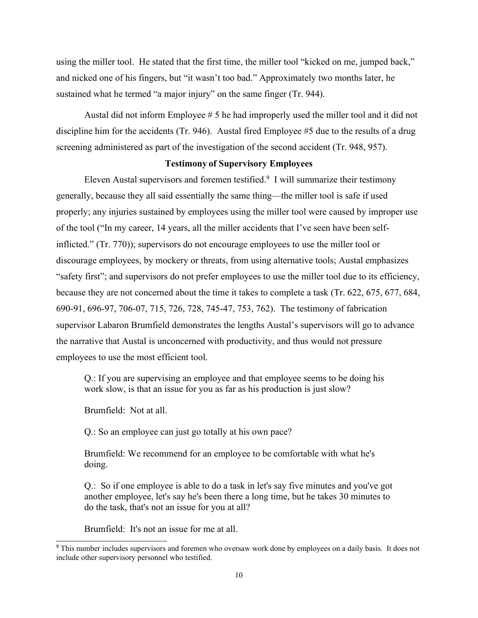using the miller tool. He stated that the first time, the miller tool "kicked on me, jumped back," and nicked one of his fingers, but "it wasn't too bad." Approximately two months later, he sustained what he termed "a major injury" on the same finger (Tr. 944).

Austal did not inform Employee # 5 he had improperly used the miller tool and it did not discipline him for the accidents (Tr. 946). Austal fired Employee #5 due to the results of a drug screening administered as part of the investigation of the second accident (Tr. 948, 957).

#### **Testimony of Supervisory Employees**

Eleven Austal supervisors and foremen testified.<sup>9</sup> I will summarize their testimony generally, because they all said essentially the same thing—the miller tool is safe if used properly; any injuries sustained by employees using the miller tool were caused by improper use of the tool ("In my career, 14 years, all the miller accidents that I've seen have been selfinflicted." (Tr. 770)); supervisors do not encourage employees to use the miller tool or discourage employees, by mockery or threats, from using alternative tools; Austal emphasizes "safety first"; and supervisors do not prefer employees to use the miller tool due to its efficiency, because they are not concerned about the time it takes to complete a task (Tr. 622, 675, 677, 684, 690-91, 696-97, 706-07, 715, 726, 728, 745-47, 753, 762). The testimony of fabrication supervisor Labaron Brumfield demonstrates the lengths Austal's supervisors will go to advance the narrative that Austal is unconcerned with productivity, and thus would not pressure employees to use the most efficient tool.

Q.: If you are supervising an employee and that employee seems to be doing his work slow, is that an issue for you as far as his production is just slow?

Brumfield: Not at all.

Q.: So an employee can just go totally at his own pace?

Brumfield: We recommend for an employee to be comfortable with what he's doing.

Q.: So if one employee is able to do a task in let's say five minutes and you've got another employee, let's say he's been there a long time, but he takes 30 minutes to do the task, that's not an issue for you at all?

Brumfield: It's not an issue for me at all.

<sup>9</sup> This number includes supervisors and foremen who oversaw work done by employees on a daily basis. It does not include other supervisory personnel who testified.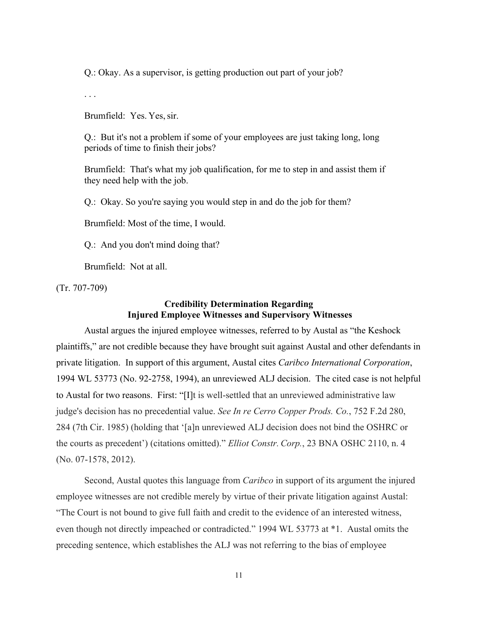Q.: Okay. As a supervisor, is getting production out part of your job?

. . .

Brumfield: Yes. Yes,sir.

Q.: But it's not a problem if some of your employees are just taking long, long periods of time to finish their jobs?

Brumfield: That's what my job qualification, for me to step in and assist them if they need help with the job.

Q.: Okay. So you're saying you would step in and do the job for them?

Brumfield: Most of the time, I would.

Q.: And you don't mind doing that?

Brumfield: Not at all.

(Tr. 707-709)

# **Credibility Determination Regarding Injured Employee Witnesses and Supervisory Witnesses**

Austal argues the injured employee witnesses, referred to by Austal as "the Keshock plaintiffs," are not credible because they have brought suit against Austal and other defendants in private litigation. In support of this argument, Austal cites *Caribco International Corporation*, 1994 WL 53773 (No. 92-2758, 1994), an unreviewed ALJ decision. The cited case is not helpful to Austal for two reasons. First: "[I]t is well-settled that an unreviewed administrative law judge's decision has no precedential value. *See In re Cerro Copper Prods. Co.*, 752 F.2d 280, 284 (7th Cir. 1985) (holding that '[a]n unreviewed ALJ decision does not bind the OSHRC or the courts as precedent') (citations omitted)." *Elliot Constr. Corp.*, 23 BNA OSHC 2110, n. 4 (No. 07-1578, 2012).

Second, Austal quotes this language from *Caribco* in support of its argument the injured employee witnesses are not credible merely by virtue of their private litigation against Austal: "The Court is not bound to give full faith and credit to the evidence of an interested witness, even though not directly impeached or contradicted." 1994 WL 53773 at \*1. Austal omits the preceding sentence, which establishes the ALJ was not referring to the bias of employee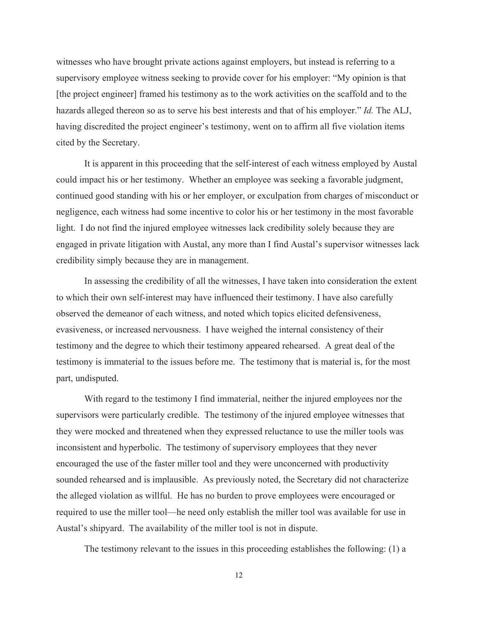witnesses who have brought private actions against employers, but instead is referring to a supervisory employee witness seeking to provide cover for his employer: "My opinion is that [the project engineer] framed his testimony as to the work activities on the scaffold and to the hazards alleged thereon so as to serve his best interests and that of his employer." *Id.* The ALJ, having discredited the project engineer's testimony, went on to affirm all five violation items cited by the Secretary.

It is apparent in this proceeding that the self-interest of each witness employed by Austal could impact his or her testimony. Whether an employee was seeking a favorable judgment, continued good standing with his or her employer, or exculpation from charges of misconduct or negligence, each witness had some incentive to color his or her testimony in the most favorable light. I do not find the injured employee witnesses lack credibility solely because they are engaged in private litigation with Austal, any more than I find Austal's supervisor witnesses lack credibility simply because they are in management.

In assessing the credibility of all the witnesses, I have taken into consideration the extent to which their own self-interest may have influenced their testimony. I have also carefully observed the demeanor of each witness, and noted which topics elicited defensiveness, evasiveness, or increased nervousness. I have weighed the internal consistency of their testimony and the degree to which their testimony appeared rehearsed. A great deal of the testimony is immaterial to the issues before me. The testimony that is material is, for the most part, undisputed.

With regard to the testimony I find immaterial, neither the injured employees nor the supervisors were particularly credible. The testimony of the injured employee witnesses that they were mocked and threatened when they expressed reluctance to use the miller tools was inconsistent and hyperbolic. The testimony of supervisory employees that they never encouraged the use of the faster miller tool and they were unconcerned with productivity sounded rehearsed and is implausible. As previously noted, the Secretary did not characterize the alleged violation as willful. He has no burden to prove employees were encouraged or required to use the miller tool—he need only establish the miller tool was available for use in Austal's shipyard. The availability of the miller tool is not in dispute.

The testimony relevant to the issues in this proceeding establishes the following: (1) a

12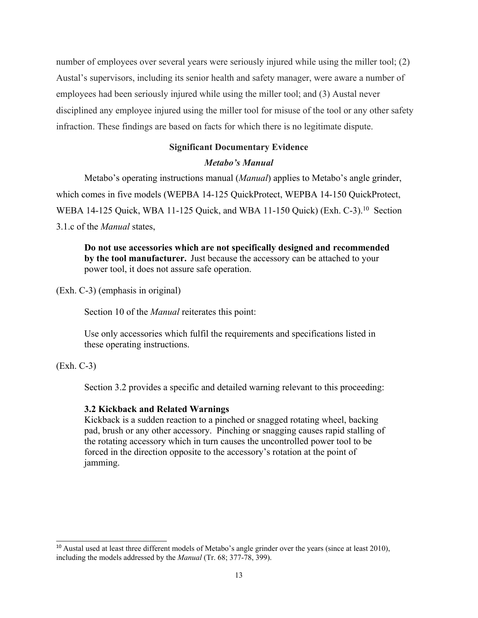number of employees over several years were seriously injured while using the miller tool; (2) Austal's supervisors, including its senior health and safety manager, were aware a number of employees had been seriously injured while using the miller tool; and (3) Austal never disciplined any employee injured using the miller tool for misuse of the tool or any other safety infraction. These findings are based on facts for which there is no legitimate dispute.

# **Significant Documentary Evidence**

# *Metabo's Manual*

Metabo's operating instructions manual (*Manual*) applies to Metabo's angle grinder, which comes in five models (WEPBA 14-125 QuickProtect, WEPBA 14-150 QuickProtect, WEBA 14-125 Quick, WBA 11-125 Quick, and WBA 11-150 Quick) (Exh. C-3).<sup>10</sup> Section 3.1.c of the *Manual* states,

**Do not use accessories which are not specifically designed and recommended by the tool manufacturer.** Just because the accessory can be attached to your power tool, it does not assure safe operation.

(Exh. C-3) (emphasis in original)

Section 10 of the *Manual* reiterates this point:

Use only accessories which fulfil the requirements and specifications listed in these operating instructions.

(Exh. C-3)

Section 3.2 provides a specific and detailed warning relevant to this proceeding:

### **3.2 Kickback and Related Warnings**

Kickback is a sudden reaction to a pinched or snagged rotating wheel, backing pad, brush or any other accessory. Pinching or snagging causes rapid stalling of the rotating accessory which in turn causes the uncontrolled power tool to be forced in the direction opposite to the accessory's rotation at the point of jamming.

<sup>&</sup>lt;sup>10</sup> Austal used at least three different models of Metabo's angle grinder over the years (since at least 2010), including the models addressed by the *Manual* (Tr. 68; 377-78, 399).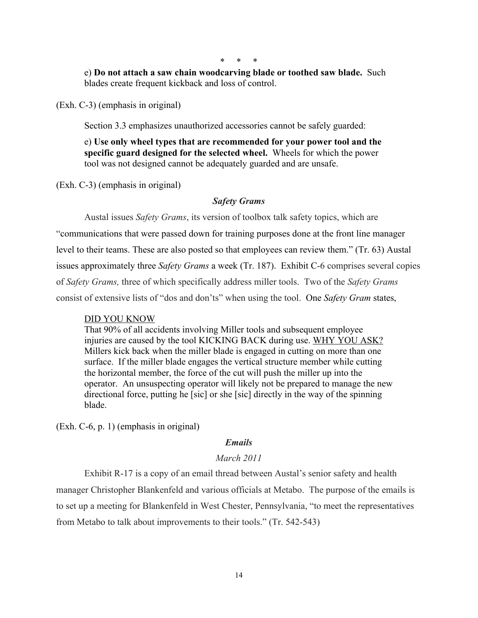\* \* \*

e) **Do not attach a saw chain woodcarving blade or toothed saw blade.** Such blades create frequent kickback and loss of control.

(Exh. C-3) (emphasis in original)

Section 3.3 emphasizes unauthorized accessories cannot be safely guarded:

e) **Use only wheel types that are recommended for your power tool and the specific guard designed for the selected wheel.** Wheels for which the power tool was not designed cannot be adequately guarded and are unsafe.

(Exh. C-3) (emphasis in original)

# *Safety Grams*

Austal issues *Safety Grams*, its version of toolbox talk safety topics, which are "communications that were passed down for training purposes done at the front line manager level to their teams. These are also posted so that employees can review them." (Tr. 63) Austal issues approximately three *Safety Grams* a week (Tr. 187). Exhibit C-6 comprises several copies of *Safety Grams,* three of which specifically address miller tools. Two of the *Safety Grams* consist of extensive lists of "dos and don'ts" when using the tool. One *Safety Gram* states,

#### DID YOU KNOW

That 90% of all accidents involving Miller tools and subsequent employee injuries are caused by the tool KICKING BACK during use. WHY YOU ASK? Millers kick back when the miller blade is engaged in cutting on more than one surface. If the miller blade engages the vertical structure member while cutting the horizontal member, the force of the cut will push the miller up into the operator. An unsuspecting operator will likely not be prepared to manage the new directional force, putting he [sic] or she [sic] directly in the way of the spinning blade.

(Exh. C-6, p. 1) (emphasis in original)

# *Emails*

# *March 2011*

Exhibit R-17 is a copy of an email thread between Austal's senior safety and health manager Christopher Blankenfeld and various officials at Metabo. The purpose of the emails is to set up a meeting for Blankenfeld in West Chester, Pennsylvania, "to meet the representatives from Metabo to talk about improvements to their tools." (Tr. 542-543)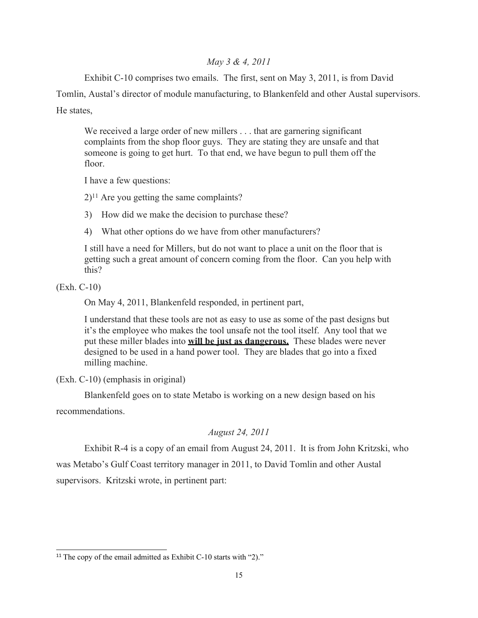# *May 3 & 4, 2011*

Exhibit C-10 comprises two emails. The first, sent on May 3, 2011, is from David

Tomlin, Austal's director of module manufacturing, to Blankenfeld and other Austal supervisors.

He states,

We received a large order of new millers . . . that are garnering significant complaints from the shop floor guys. They are stating they are unsafe and that someone is going to get hurt. To that end, we have begun to pull them off the floor.

I have a few questions:

 $2$ <sup>11</sup> Are you getting the same complaints?

3) How did we make the decision to purchase these?

4) What other options do we have from other manufacturers?

I still have a need for Millers, but do not want to place a unit on the floor that is getting such a great amount of concern coming from the floor. Can you help with this?

(Exh. C-10)

On May 4, 2011, Blankenfeld responded, in pertinent part,

I understand that these tools are not as easy to use as some of the past designs but it's the employee who makes the tool unsafe not the tool itself. Any tool that we put these miller blades into **will be just as dangerous.** These blades were never designed to be used in a hand power tool. They are blades that go into a fixed milling machine.

(Exh. C-10) (emphasis in original)

Blankenfeld goes on to state Metabo is working on a new design based on his

recommendations.

# *August 24, 2011*

Exhibit R-4 is a copy of an email from August 24, 2011. It is from John Kritzski, who

was Metabo's Gulf Coast territory manager in 2011, to David Tomlin and other Austal supervisors. Kritzski wrote, in pertinent part:

<sup>&</sup>lt;sup>11</sup> The copy of the email admitted as Exhibit C-10 starts with "2)."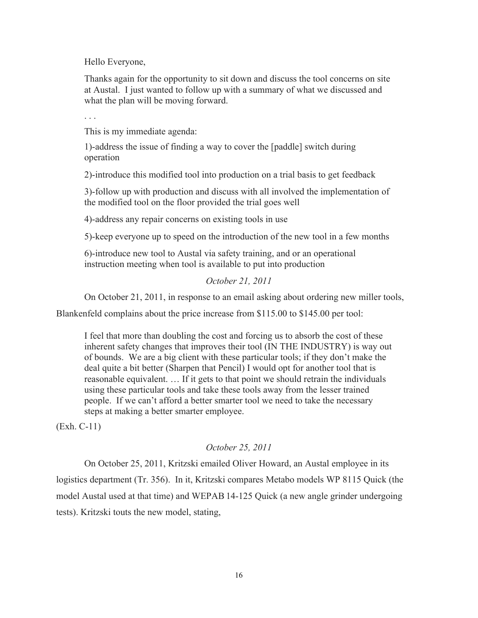Hello Everyone,

Thanks again for the opportunity to sit down and discuss the tool concerns on site at Austal. I just wanted to follow up with a summary of what we discussed and what the plan will be moving forward.

. . .

This is my immediate agenda:

1)-address the issue of finding a way to cover the [paddle] switch during operation

2)-introduce this modified tool into production on a trial basis to get feedback

3)-follow up with production and discuss with all involved the implementation of the modified tool on the floor provided the trial goes well

4)-address any repair concerns on existing tools in use

5)-keep everyone up to speed on the introduction of the new tool in a few months

6)-introduce new tool to Austal via safety training, and or an operational instruction meeting when tool is available to put into production

#### *October 21, 2011*

On October 21, 2011, in response to an email asking about ordering new miller tools,

Blankenfeld complains about the price increase from \$115.00 to \$145.00 per tool:

I feel that more than doubling the cost and forcing us to absorb the cost of these inherent safety changes that improves their tool (IN THE INDUSTRY) is way out of bounds. We are a big client with these particular tools; if they don't make the deal quite a bit better (Sharpen that Pencil) I would opt for another tool that is reasonable equivalent. … If it gets to that point we should retrain the individuals using these particular tools and take these tools away from the lesser trained people. If we can't afford a better smarter tool we need to take the necessary steps at making a better smarter employee.

(Exh. C-11)

# *October 25, 2011*

On October 25, 2011, Kritzski emailed Oliver Howard, an Austal employee in its logistics department (Tr. 356). In it, Kritzski compares Metabo models WP 8115 Quick (the model Austal used at that time) and WEPAB 14-125 Quick (a new angle grinder undergoing tests). Kritzski touts the new model, stating,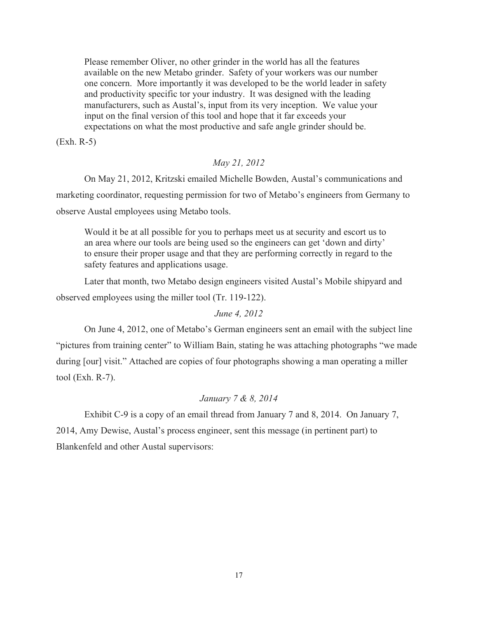Please remember Oliver, no other grinder in the world has all the features available on the new Metabo grinder. Safety of your workers was our number one concern. More importantly it was developed to be the world leader in safety and productivity specific tor your industry. It was designed with the leading manufacturers, such as Austal's, input from its very inception. We value your input on the final version of this tool and hope that it far exceeds your expectations on what the most productive and safe angle grinder should be.

(Exh. R-5)

## *May 21, 2012*

On May 21, 2012, Kritzski emailed Michelle Bowden, Austal's communications and marketing coordinator, requesting permission for two of Metabo's engineers from Germany to observe Austal employees using Metabo tools.

Would it be at all possible for you to perhaps meet us at security and escort us to an area where our tools are being used so the engineers can get 'down and dirty' to ensure their proper usage and that they are performing correctly in regard to the safety features and applications usage.

Later that month, two Metabo design engineers visited Austal's Mobile shipyard and observed employees using the miller tool (Tr. 119-122).

# *June 4, 2012*

On June 4, 2012, one of Metabo's German engineers sent an email with the subject line "pictures from training center" to William Bain, stating he was attaching photographs "we made during [our] visit." Attached are copies of four photographs showing a man operating a miller tool (Exh. R-7).

## *January 7 & 8, 2014*

Exhibit C-9 is a copy of an email thread from January 7 and 8, 2014. On January 7, 2014, Amy Dewise, Austal's process engineer, sent this message (in pertinent part) to Blankenfeld and other Austal supervisors: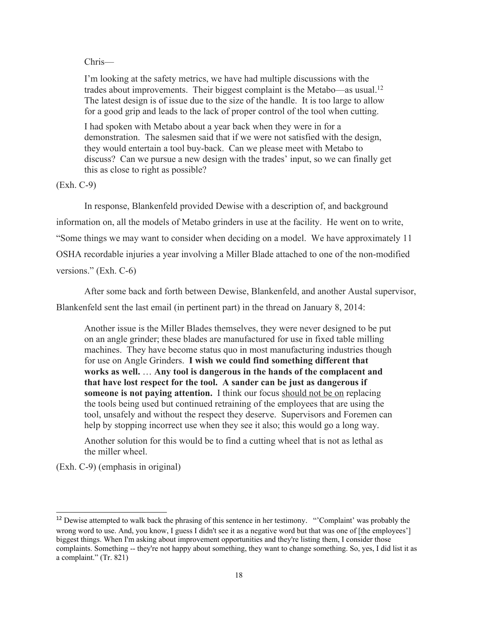### Chris—

I'm looking at the safety metrics, we have had multiple discussions with the trades about improvements. Their biggest complaint is the Metabo—as usual.<sup>12</sup> The latest design is of issue due to the size of the handle. It is too large to allow for a good grip and leads to the lack of proper control of the tool when cutting.

I had spoken with Metabo about a year back when they were in for a demonstration. The salesmen said that if we were not satisfied with the design, they would entertain a tool buy-back. Can we please meet with Metabo to discuss? Can we pursue a new design with the trades' input, so we can finally get this as close to right as possible?

(Exh. C-9)

In response, Blankenfeld provided Dewise with a description of, and background information on, all the models of Metabo grinders in use at the facility. He went on to write, "Some things we may want to consider when deciding on a model. We have approximately 11 OSHA recordable injuries a year involving a Miller Blade attached to one of the non-modified versions." (Exh. C-6)

After some back and forth between Dewise, Blankenfeld, and another Austal supervisor,

Blankenfeld sent the last email (in pertinent part) in the thread on January 8, 2014:

Another issue is the Miller Blades themselves, they were never designed to be put on an angle grinder; these blades are manufactured for use in fixed table milling machines. They have become status quo in most manufacturing industries though for use on Angle Grinders. **I wish we could find something different that works as well.** … **Any tool is dangerous in the hands of the complacent and that have lost respect for the tool. A sander can be just as dangerous if someone is not paying attention.** I think our focus should not be on replacing the tools being used but continued retraining of the employees that are using the tool, unsafely and without the respect they deserve. Supervisors and Foremen can help by stopping incorrect use when they see it also; this would go a long way.

Another solution for this would be to find a cutting wheel that is not as lethal as the miller wheel.

(Exh. C-9) (emphasis in original)

<sup>&</sup>lt;sup>12</sup> Dewise attempted to walk back the phrasing of this sentence in her testimony. "Complaint' was probably the wrong word to use. And, you know, I guess I didn't see it as a negative word but that was one of [the employees'] biggest things. When I'm asking about improvement opportunities and they're listing them, I consider those complaints. Something -- they're not happy about something, they want to change something. So, yes, I did list it as a complaint." (Tr. 821)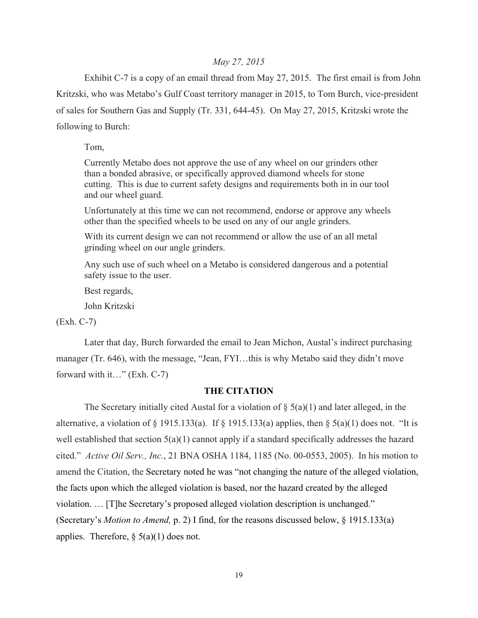## *May 27, 2015*

Exhibit C-7 is a copy of an email thread from May 27, 2015. The first email is from John Kritzski, who was Metabo's Gulf Coast territory manager in 2015, to Tom Burch, vice-president of sales for Southern Gas and Supply (Tr. 331, 644-45). On May 27, 2015, Kritzski wrote the following to Burch:

Tom,

Currently Metabo does not approve the use of any wheel on our grinders other than a bonded abrasive, or specifically approved diamond wheels for stone cutting. This is due to current safety designs and requirements both in in our tool and our wheel guard.

Unfortunately at this time we can not recommend, endorse or approve any wheels other than the specified wheels to be used on any of our angle grinders.

With its current design we can not recommend or allow the use of an all metal grinding wheel on our angle grinders.

Any such use of such wheel on a Metabo is considered dangerous and a potential safety issue to the user.

Best regards,

John Kritzski

(Exh. C-7)

Later that day, Burch forwarded the email to Jean Michon, Austal's indirect purchasing manager (Tr. 646), with the message, "Jean, FYI…this is why Metabo said they didn't move forward with it…" (Exh. C-7)

# **THE CITATION**

The Secretary initially cited Austal for a violation of  $\S(5(a)(1))$  and later alleged, in the alternative, a violation of § 1915.133(a). If § 1915.133(a) applies, then § 5(a)(1) does not. "It is well established that section 5(a)(1) cannot apply if a standard specifically addresses the hazard cited." *Active Oil Serv., Inc.*, 21 BNA OSHA 1184, 1185 (No. 00-0553, 2005). In his motion to amend the Citation, the Secretary noted he was "not changing the nature of the alleged violation, the facts upon which the alleged violation is based, nor the hazard created by the alleged violation. … [T]he Secretary's proposed alleged violation description is unchanged." (Secretary's *Motion to Amend,* p. 2) I find, for the reasons discussed below, § 1915.133(a) applies. Therefore,  $\S$  5(a)(1) does not.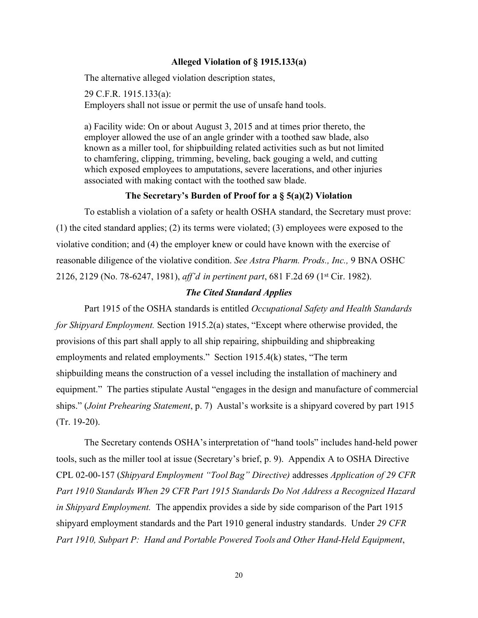### **Alleged Violation of § 1915.133(a)**

The alternative alleged violation description states,

29 C.F.R. 1915.133(a): Employers shall not issue or permit the use of unsafe hand tools.

a) Facility wide: On or about August 3, 2015 and at times prior thereto, the employer allowed the use of an angle grinder with a toothed saw blade, also known as a miller tool, for shipbuilding related activities such as but not limited to chamfering, clipping, trimming, beveling, back gouging a weld, and cutting which exposed employees to amputations, severe lacerations, and other injuries associated with making contact with the toothed saw blade.

## **The Secretary's Burden of Proof for a § 5(a)(2) Violation**

To establish a violation of a safety or health OSHA standard, the Secretary must prove: (1) the cited standard applies; (2) its terms were violated; (3) employees were exposed to the violative condition; and (4) the employer knew or could have known with the exercise of reasonable diligence of the violative condition. *See Astra Pharm. Prods., Inc.,* 9 BNA OSHC 2126, 2129 (No. 78-6247, 1981), *aff'd in pertinent part*, 681 F.2d 69 (1st Cir. 1982).

## *The Cited Standard Applies*

Part 1915 of the OSHA standards is entitled *Occupational Safety and Health Standards for Shipyard Employment.* Section 1915.2(a) states, "Except where otherwise provided, the provisions of this part shall apply to all ship repairing, shipbuilding and shipbreaking employments and related employments." Section 1915.4(k) states, "The term shipbuilding means the construction of a vessel including the installation of machinery and equipment." The parties stipulate Austal "engages in the design and manufacture of commercial ships." (*Joint Prehearing Statement*, p. 7) Austal's worksite is a shipyard covered by part 1915 (Tr. 19-20).

The Secretary contends OSHA'sinterpretation of "hand tools" includes hand-held power tools, such as the miller tool at issue (Secretary's brief, p. 9). Appendix A to OSHA Directive CPL 02-00-157 (*Shipyard Employment "Tool Bag" Directive)* addresses *Application of 29 CFR Part 1910 Standards When 29 CFR Part 1915 Standards Do Not Address a Recognized Hazard in Shipyard Employment.* The appendix provides a side by side comparison of the Part 1915 shipyard employment standards and the Part 1910 general industry standards. Under *29 CFR Part 1910, Subpart P: Hand and Portable Powered Tools and Other Hand-Held Equipment*,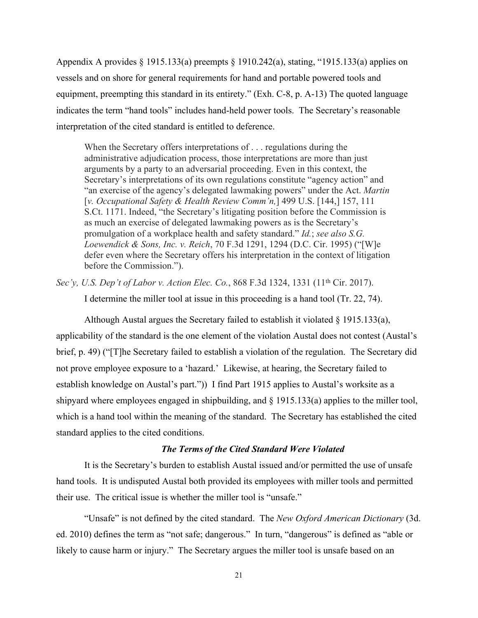Appendix A provides § 1915.133(a) preempts § 1910.242(a), stating, "1915.133(a) applies on vessels and on shore for general requirements for hand and portable powered tools and equipment, preempting this standard in its entirety." (Exh. C-8, p. A-13) The quoted language indicates the term "hand tools" includes hand-held power tools. The Secretary's reasonable interpretation of the cited standard is entitled to deference.

When the Secretary offers interpretations of . . . regulations during the administrative adjudication process, those interpretations are more than just arguments by a party to an adversarial proceeding. Even in this context, the Secretary's interpretations of its own regulations constitute "agency action" and "an exercise of the agency's delegated lawmaking powers" under the Act. *Martin* [*v. Occupational Safety & Health Review Comm'n,*] 499 U.S. [144,] 157, 111 S.Ct. 1171. Indeed, "the Secretary's litigating position before the Commission is as much an exercise of delegated lawmaking powers as is the Secretary's promulgation of a workplace health and safety standard." *Id.*; *see also S.G. Loewendick & Sons, Inc. v. Reich*, 70 F.3d 1291, 1294 (D.C. Cir. 1995) ("[W]e defer even where the Secretary offers his interpretation in the context of litigation before the Commission.").

*Sec'y, U.S. Dep't of Labor v. Action Elec. Co.*, 868 F.3d 1324, 1331 (11th Cir. 2017).

I determine the miller tool at issue in this proceeding is a hand tool (Tr. 22, 74).

Although Austal argues the Secretary failed to establish it violated § 1915.133(a), applicability of the standard is the one element of the violation Austal does not contest (Austal's brief, p. 49) ("[T]he Secretary failed to establish a violation of the regulation. The Secretary did not prove employee exposure to a 'hazard.' Likewise, at hearing, the Secretary failed to establish knowledge on Austal's part.")) I find Part 1915 applies to Austal's worksite as a shipyard where employees engaged in shipbuilding, and  $\S$  1915.133(a) applies to the miller tool, which is a hand tool within the meaning of the standard. The Secretary has established the cited standard applies to the cited conditions.

### *The Terms of the Cited Standard Were Violated*

It is the Secretary's burden to establish Austal issued and/or permitted the use of unsafe hand tools. It is undisputed Austal both provided its employees with miller tools and permitted their use. The critical issue is whether the miller tool is "unsafe."

"Unsafe" is not defined by the cited standard. The *New Oxford American Dictionary* (3d. ed. 2010) defines the term as "not safe; dangerous." In turn, "dangerous" is defined as "able or likely to cause harm or injury." The Secretary argues the miller tool is unsafe based on an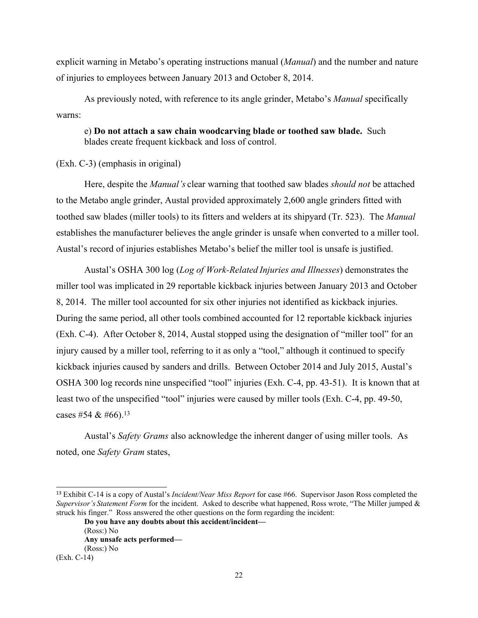explicit warning in Metabo's operating instructions manual (*Manual*) and the number and nature of injuries to employees between January 2013 and October 8, 2014.

As previously noted, with reference to its angle grinder, Metabo's *Manual* specifically warns:

e) **Do not attach a saw chain woodcarving blade or toothed saw blade.** Such blades create frequent kickback and loss of control.

(Exh. C-3) (emphasis in original)

Here, despite the *Manual's* clear warning that toothed saw blades *should not* be attached to the Metabo angle grinder, Austal provided approximately 2,600 angle grinders fitted with toothed saw blades (miller tools) to its fitters and welders at its shipyard (Tr. 523). The *Manual* establishes the manufacturer believes the angle grinder is unsafe when converted to a miller tool. Austal's record of injuries establishes Metabo's belief the miller tool is unsafe is justified.

Austal's OSHA 300 log (*Log of Work-Related Injuries and Illnesses*) demonstrates the miller tool was implicated in 29 reportable kickback injuries between January 2013 and October 8, 2014. The miller tool accounted for six other injuries not identified as kickback injuries. During the same period, all other tools combined accounted for 12 reportable kickback injuries (Exh. C-4). After October 8, 2014, Austal stopped using the designation of "miller tool" for an injury caused by a miller tool, referring to it as only a "tool," although it continued to specify kickback injuries caused by sanders and drills. Between October 2014 and July 2015, Austal's OSHA 300 log records nine unspecified "tool" injuries (Exh. C-4, pp. 43-51). It is known that at least two of the unspecified "tool" injuries were caused by miller tools (Exh. C-4, pp. 49-50, cases #54 & #66).<sup>13</sup>

Austal's *Safety Grams* also acknowledge the inherent danger of using miller tools. As noted, one *Safety Gram* states,

<sup>13</sup> Exhibit C-14 is a copy of Austal's *Incident/Near Miss Report* for case #66. Supervisor Jason Ross completed the *Supervisor's Statement Form* for the incident. Asked to describe what happened, Ross wrote, "The Miller jumped & struck his finger." Ross answered the other questions on the form regarding the incident:

**Do you have any doubts about this accident/incident—** (Ross:) No **Any unsafe acts performed—** (Ross:) No

<sup>(</sup>Exh. C-14)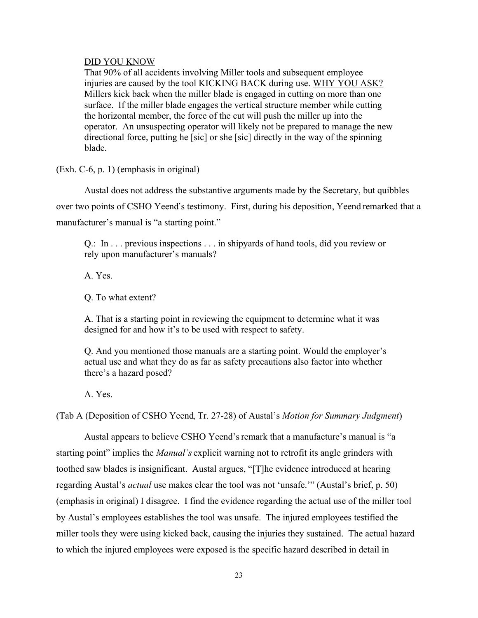#### DID YOU KNOW

That 90% of all accidents involving Miller tools and subsequent employee injuries are caused by the tool KICKING BACK during use. WHY YOU ASK? Millers kick back when the miller blade is engaged in cutting on more than one surface. If the miller blade engages the vertical structure member while cutting the horizontal member, the force of the cut will push the miller up into the operator. An unsuspecting operator will likely not be prepared to manage the new directional force, putting he [sic] or she [sic] directly in the way of the spinning blade.

(Exh. C-6, p. 1) (emphasis in original)

Austal does not address the substantive arguments made by the Secretary, but quibbles over two points of CSHO Yeend's testimony. First, during his deposition, Yeend remarked that a manufacturer's manual is "a starting point."

Q.: In . . . previous inspections . . . in shipyards of hand tools, did you review or rely upon manufacturer's manuals?

A. Yes.

Q. To what extent?

A. That is a starting point in reviewing the equipment to determine what it was designed for and how it's to be used with respect to safety.

Q. And you mentioned those manuals are a starting point. Would the employer's actual use and what they do as far as safety precautions also factor into whether there's a hazard posed?

A. Yes.

(Tab A (Deposition of CSHO Yeend, Tr. 27-28) of Austal's *Motion for Summary Judgment*)

Austal appears to believe CSHO Yeend'sremark that a manufacture's manual is "a starting point" implies the *Manual's* explicit warning not to retrofit its angle grinders with toothed saw blades is insignificant. Austal argues, "[T]he evidence introduced at hearing regarding Austal's *actual* use makes clear the tool was not 'unsafe.'" (Austal's brief, p. 50) (emphasis in original) I disagree. I find the evidence regarding the actual use of the miller tool by Austal's employees establishes the tool was unsafe. The injured employees testified the miller tools they were using kicked back, causing the injuries they sustained. The actual hazard to which the injured employees were exposed is the specific hazard described in detail in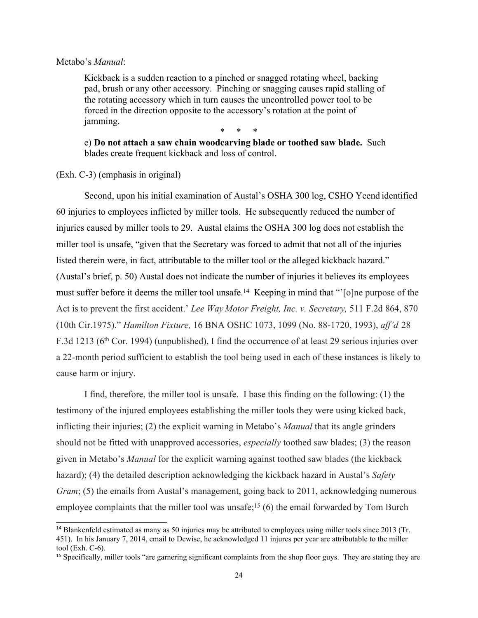#### Metabo's *Manual*:

Kickback is a sudden reaction to a pinched or snagged rotating wheel, backing pad, brush or any other accessory. Pinching or snagging causes rapid stalling of the rotating accessory which in turn causes the uncontrolled power tool to be forced in the direction opposite to the accessory's rotation at the point of jamming.

\* \* \*

e) **Do not attach a saw chain woodcarving blade or toothed saw blade.** Such blades create frequent kickback and loss of control.

(Exh. C-3) (emphasis in original)

Second, upon his initial examination of Austal's OSHA 300 log, CSHO Yeend identified 60 injuries to employees inflicted by miller tools. He subsequently reduced the number of injuries caused by miller tools to 29. Austal claims the OSHA 300 log does not establish the miller tool is unsafe, "given that the Secretary was forced to admit that not all of the injuries listed therein were, in fact, attributable to the miller tool or the alleged kickback hazard." (Austal's brief, p. 50) Austal does not indicate the number of injuries it believes its employees must suffer before it deems the miller tool unsafe.<sup>14</sup> Keeping in mind that "<sup>'</sup>[o]ne purpose of the Act is to prevent the first accident.' *Lee Way Motor Freight, Inc. v. Secretary,* 511 F.2d 864, 870 (10th Cir.1975)." *Hamilton Fixture,* 16 BNA OSHC 1073, 1099 (No. 88-1720, 1993), *aff'd* 28 F.3d 1213 (6th Cor. 1994) (unpublished), I find the occurrence of at least 29 serious injuries over a 22-month period sufficient to establish the tool being used in each of these instances is likely to cause harm or injury.

I find, therefore, the miller tool is unsafe. I base this finding on the following: (1) the testimony of the injured employees establishing the miller tools they were using kicked back, inflicting their injuries; (2) the explicit warning in Metabo's *Manual* that its angle grinders should not be fitted with unapproved accessories, *especially* toothed saw blades; (3) the reason given in Metabo's *Manual* for the explicit warning against toothed saw blades (the kickback hazard); (4) the detailed description acknowledging the kickback hazard in Austal's *Safety Gram*; (5) the emails from Austal's management, going back to 2011, acknowledging numerous employee complaints that the miller tool was unsafe;<sup>15</sup> (6) the email forwarded by Tom Burch

<sup>&</sup>lt;sup>14</sup> Blankenfeld estimated as many as 50 injuries may be attributed to employees using miller tools since 2013 (Tr. 451). In his January 7, 2014, email to Dewise, he acknowledged 11 injures per year are attributable to the miller tool (Exh. C-6).

<sup>&</sup>lt;sup>15</sup> Specifically, miller tools "are garnering significant complaints from the shop floor guys. They are stating they are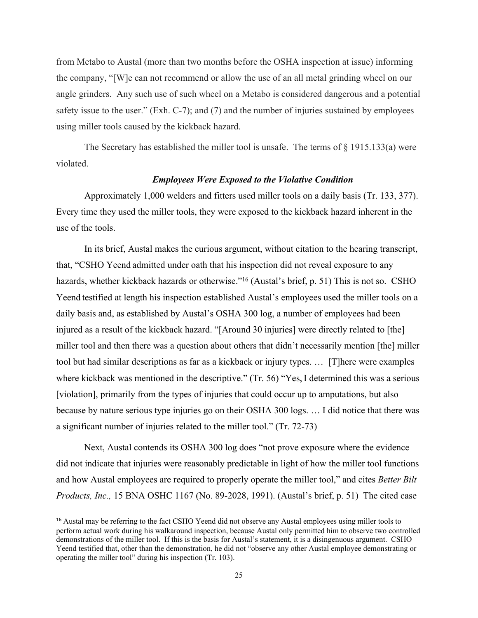from Metabo to Austal (more than two months before the OSHA inspection at issue) informing the company, "[W]e can not recommend or allow the use of an all metal grinding wheel on our angle grinders. Any such use of such wheel on a Metabo is considered dangerous and a potential safety issue to the user." (Exh. C-7); and (7) and the number of injuries sustained by employees using miller tools caused by the kickback hazard.

The Secretary has established the miller tool is unsafe. The terms of  $\S$  1915.133(a) were violated.

### *Employees Were Exposed to the Violative Condition*

Approximately 1,000 welders and fitters used miller tools on a daily basis (Tr. 133, 377). Every time they used the miller tools, they were exposed to the kickback hazard inherent in the use of the tools.

In its brief, Austal makes the curious argument, without citation to the hearing transcript, that, "CSHO Yeend admitted under oath that his inspection did not reveal exposure to any hazards, whether kickback hazards or otherwise."<sup>16</sup> (Austal's brief, p. 51) This is not so. CSHO Yeend testified at length his inspection established Austal's employees used the miller tools on a daily basis and, as established by Austal's OSHA 300 log, a number of employees had been injured as a result of the kickback hazard. "[Around 30 injuries] were directly related to [the] miller tool and then there was a question about others that didn't necessarily mention [the] miller tool but had similar descriptions as far as a kickback or injury types. … [T]here were examples where kickback was mentioned in the descriptive." (Tr. 56) "Yes, I determined this was a serious [violation], primarily from the types of injuries that could occur up to amputations, but also because by nature serious type injuries go on their OSHA 300 logs. … I did notice that there was a significant number of injuries related to the miller tool." (Tr. 72-73)

Next, Austal contends its OSHA 300 log does "not prove exposure where the evidence did not indicate that injuries were reasonably predictable in light of how the miller tool functions and how Austal employees are required to properly operate the miller tool," and cites *Better Bilt Products, Inc.,* 15 BNA OSHC 1167 (No. 89-2028, 1991). (Austal's brief, p. 51) The cited case

<sup>&</sup>lt;sup>16</sup> Austal may be referring to the fact CSHO Yeend did not observe any Austal employees using miller tools to perform actual work during his walkaround inspection, because Austal only permitted him to observe two controlled demonstrations of the miller tool. If this is the basis for Austal's statement, it is a disingenuous argument. CSHO Yeend testified that, other than the demonstration, he did not "observe any other Austal employee demonstrating or operating the miller tool" during his inspection (Tr. 103).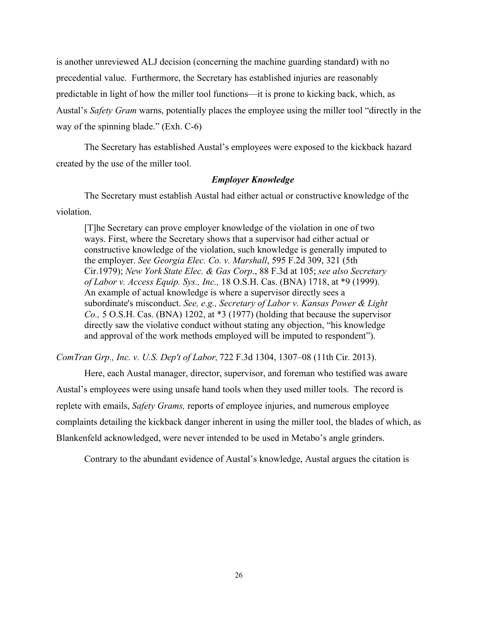is another unreviewed ALJ decision (concerning the machine guarding standard) with no precedential value. Furthermore, the Secretary has established injuries are reasonably predictable in light of how the miller tool functions—it is prone to kicking back, which, as Austal's *Safety Gram* warns, potentially places the employee using the miller tool "directly in the way of the spinning blade." (Exh. C-6)

The Secretary has established Austal's employees were exposed to the kickback hazard created by the use of the miller tool.

# *Employer Knowledge*

The Secretary must establish Austal had either actual or constructive knowledge of the violation.

[T]he Secretary can prove employer knowledge of the violation in one of two ways. First, where the Secretary shows that a supervisor had either actual or constructive knowledge of the violation, such knowledge is generally imputed to the employer. *See Georgia Elec. Co. v. Marshall*, 595 F.2d 309, 321 (5th Cir.1979); *New York State Elec. & Gas Corp*., 88 F.3d at 105; *see also Secretary of Labor v. Access Equip. Sys., Inc.,* 18 O.S.H. Cas. (BNA) 1718, at \*9 (1999). An example of actual knowledge is where a supervisor directly sees a subordinate's misconduct. *See, e.g., Secretary of Labor v. Kansas Power & Light Co.,* 5 O.S.H. Cas. (BNA) 1202, at \*3 (1977) (holding that because the supervisor directly saw the violative conduct without stating any objection, "his knowledge and approval of the work methods employed will be imputed to respondent").

*ComTran Grp., Inc. v. U.S. Dep't of Labor,* 722 F.3d 1304, 1307–08 (11th Cir. 2013).

Here, each Austal manager, director, supervisor, and foreman who testified was aware Austal's employees were using unsafe hand tools when they used miller tools. The record is replete with emails, *Safety Grams,* reports of employee injuries, and numerous employee complaints detailing the kickback danger inherent in using the miller tool, the blades of which, as Blankenfeld acknowledged, were never intended to be used in Metabo's angle grinders.

Contrary to the abundant evidence of Austal's knowledge, Austal argues the citation is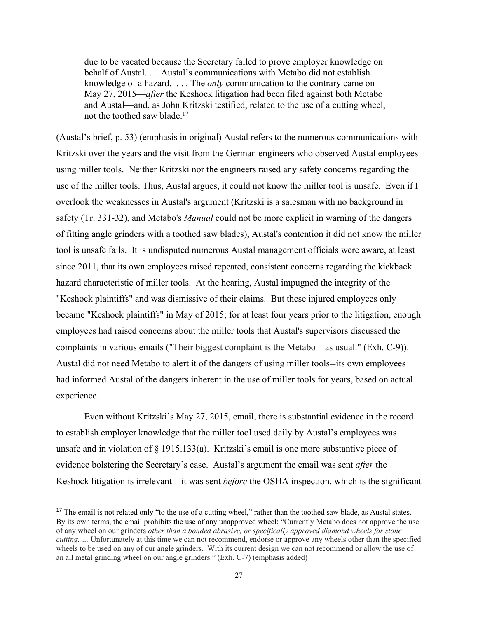due to be vacated because the Secretary failed to prove employer knowledge on behalf of Austal. … Austal's communications with Metabo did not establish knowledge of a hazard. . . . The *only* communication to the contrary came on May 27, 2015—*after* the Keshock litigation had been filed against both Metabo and Austal—and, as John Kritzski testified, related to the use of a cutting wheel, not the toothed saw blade.<sup>17</sup>

(Austal's brief, p. 53) (emphasis in original) Austal refers to the numerous communications with Kritzski over the years and the visit from the German engineers who observed Austal employees using miller tools. Neither Kritzski nor the engineers raised any safety concerns regarding the use of the miller tools. Thus, Austal argues, it could not know the miller tool is unsafe. Even if I overlook the weaknesses in Austal's argument (Kritzski is a salesman with no background in safety (Tr. 331-32), and Metabo's *Manual* could not be more explicit in warning of the dangers of fitting angle grinders with a toothed saw blades), Austal's contention it did not know the miller tool is unsafe fails. It is undisputed numerous Austal management officials were aware, at least since 2011, that its own employees raised repeated, consistent concerns regarding the kickback hazard characteristic of miller tools. At the hearing, Austal impugned the integrity of the "Keshock plaintiffs" and was dismissive of their claims. But these injured employees only became "Keshock plaintiffs" in May of 2015; for at least four years prior to the litigation, enough employees had raised concerns about the miller tools that Austal's supervisors discussed the complaints in various emails ("Their biggest complaint is the Metabo—as usual." (Exh. C-9)). Austal did not need Metabo to alert it of the dangers of using miller tools--its own employees had informed Austal of the dangers inherent in the use of miller tools for years, based on actual experience.

Even without Kritzski's May 27, 2015, email, there is substantial evidence in the record to establish employer knowledge that the miller tool used daily by Austal's employees was unsafe and in violation of § 1915.133(a). Kritzski's email is one more substantive piece of evidence bolstering the Secretary's case. Austal's argument the email was sent *after* the Keshock litigation is irrelevant—it was sent *before* the OSHA inspection, which is the significant

<sup>&</sup>lt;sup>17</sup> The email is not related only "to the use of a cutting wheel," rather than the toothed saw blade, as Austal states. By its own terms, the email prohibits the use of any unapproved wheel: "Currently Metabo does not approve the use of any wheel on our grinders *other than a bonded abrasive, or specifically approved diamond wheels for stone cutting.* ... Unfortunately at this time we can not recommend, endorse or approve any wheels other than the specified wheels to be used on any of our angle grinders. With its current design we can not recommend or allow the use of an all metal grinding wheel on our angle grinders." (Exh. C-7) (emphasis added)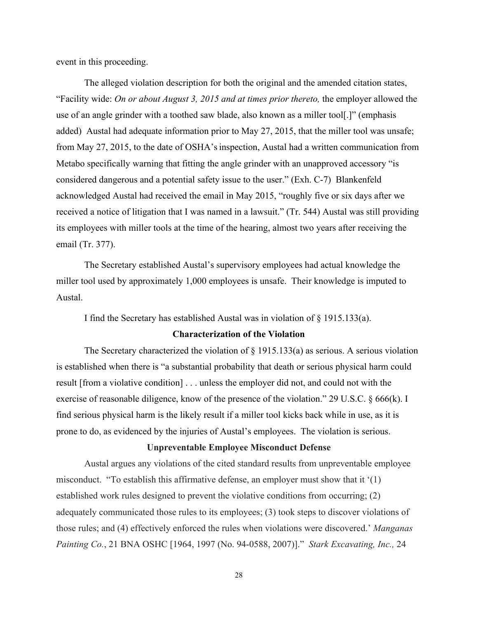event in this proceeding.

The alleged violation description for both the original and the amended citation states, "Facility wide: *On or about August 3, 2015 and at times prior thereto,* the employer allowed the use of an angle grinder with a toothed saw blade, also known as a miller tool[.]" (emphasis added) Austal had adequate information prior to May 27, 2015, that the miller tool was unsafe; from May 27, 2015, to the date of OSHA'sinspection, Austal had a written communication from Metabo specifically warning that fitting the angle grinder with an unapproved accessory "is considered dangerous and a potential safety issue to the user." (Exh. C-7) Blankenfeld acknowledged Austal had received the email in May 2015, "roughly five or six days after we received a notice of litigation that I was named in a lawsuit." (Tr. 544) Austal was still providing its employees with miller tools at the time of the hearing, almost two years after receiving the email (Tr. 377).

The Secretary established Austal's supervisory employees had actual knowledge the miller tool used by approximately 1,000 employees is unsafe. Their knowledge is imputed to Austal.

I find the Secretary has established Austal was in violation of § 1915.133(a).

# **Characterization of the Violation**

The Secretary characterized the violation of  $\S$  1915.133(a) as serious. A serious violation is established when there is "a substantial probability that death or serious physical harm could result [from a violative condition] . . . unless the employer did not, and could not with the exercise of reasonable diligence, know of the presence of the violation." 29 U.S.C. § 666(k). I find serious physical harm is the likely result if a miller tool kicks back while in use, as it is prone to do, as evidenced by the injuries of Austal's employees. The violation is serious.

### **Unpreventable Employee Misconduct Defense**

Austal argues any violations of the cited standard results from unpreventable employee misconduct. "To establish this affirmative defense, an employer must show that it '(1) established work rules designed to prevent the violative conditions from occurring; (2) adequately communicated those rules to its employees; (3) took steps to discover violations of those rules; and (4) effectively enforced the rules when violations were discovered.' *Manganas Painting Co.*, 21 BNA OSHC [1964, 1997 (No. 94-0588, 2007)]." *Stark Excavating, Inc.,* 24

28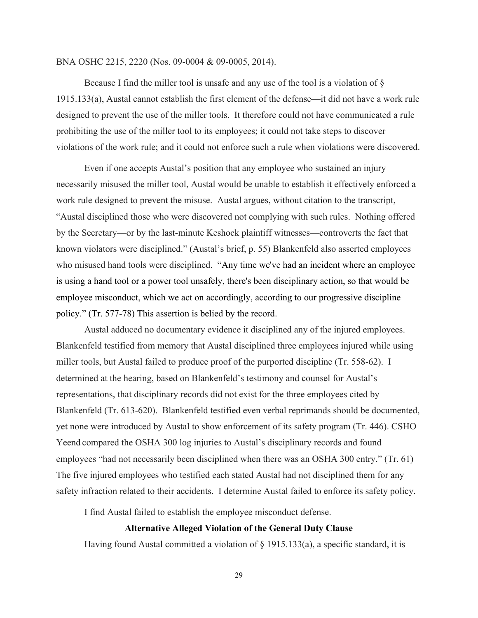#### BNA OSHC 2215, 2220 (Nos. 09-0004 & 09-0005, 2014).

Because I find the miller tool is unsafe and any use of the tool is a violation of § 1915.133(a), Austal cannot establish the first element of the defense—it did not have a work rule designed to prevent the use of the miller tools. It therefore could not have communicated a rule prohibiting the use of the miller tool to its employees; it could not take steps to discover violations of the work rule; and it could not enforce such a rule when violations were discovered.

Even if one accepts Austal's position that any employee who sustained an injury necessarily misused the miller tool, Austal would be unable to establish it effectively enforced a work rule designed to prevent the misuse. Austal argues, without citation to the transcript, "Austal disciplined those who were discovered not complying with such rules. Nothing offered by the Secretary—or by the last-minute Keshock plaintiff witnesses—controverts the fact that known violators were disciplined." (Austal's brief, p. 55) Blankenfeld also asserted employees who misused hand tools were disciplined. "Any time we've had an incident where an employee is using a hand tool or a power tool unsafely, there's been disciplinary action, so that would be employee misconduct, which we act on accordingly, according to our progressive discipline policy." (Tr. 577-78) This assertion is belied by the record.

Austal adduced no documentary evidence it disciplined any of the injured employees. Blankenfeld testified from memory that Austal disciplined three employees injured while using miller tools, but Austal failed to produce proof of the purported discipline (Tr. 558-62). I determined at the hearing, based on Blankenfeld's testimony and counsel for Austal's representations, that disciplinary records did not exist for the three employees cited by Blankenfeld (Tr. 613-620). Blankenfeld testified even verbal reprimands should be documented, yet none were introduced by Austal to show enforcement of its safety program (Tr. 446). CSHO Yeend compared the OSHA 300 log injuries to Austal's disciplinary records and found employees "had not necessarily been disciplined when there was an OSHA 300 entry." (Tr. 61) The five injured employees who testified each stated Austal had not disciplined them for any safety infraction related to their accidents. I determine Austal failed to enforce its safety policy.

I find Austal failed to establish the employee misconduct defense.

#### **Alternative Alleged Violation of the General Duty Clause**

Having found Austal committed a violation of  $\S$  1915.133(a), a specific standard, it is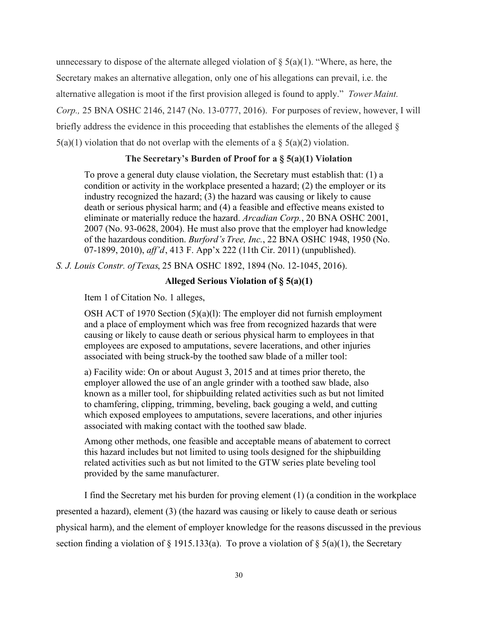unnecessary to dispose of the alternate alleged violation of  $\S(6a)(1)$ . "Where, as here, the Secretary makes an alternative allegation, only one of his allegations can prevail, i.e. the alternative allegation is moot if the first provision alleged is found to apply." *Tower Maint. Corp.,* 25 BNA OSHC 2146, 2147 (No. 13-0777, 2016). For purposes of review, however, I will briefly address the evidence in this proceeding that establishes the elements of the alleged §  $5(a)(1)$  violation that do not overlap with the elements of a  $\S$   $5(a)(2)$  violation.

### **The Secretary's Burden of Proof for a § 5(a)(1) Violation**

To prove a general duty clause violation, the Secretary must establish that: (1) a condition or activity in the workplace presented a hazard; (2) the employer or its industry recognized the hazard; (3) the hazard was causing or likely to cause death or serious physical harm; and (4) a feasible and effective means existed to eliminate or materially reduce the hazard. *Arcadian Corp.*, 20 BNA OSHC 2001, 2007 (No. 93-0628, 2004). He must also prove that the employer had knowledge of the hazardous condition. *Burford's Tree, Inc.*, 22 BNA OSHC 1948, 1950 (No. 07-1899, 2010), *aff'd*, 413 F. App'x 222 (11th Cir. 2011) (unpublished).

*S. J. Louis Constr. of Texas*, 25 BNA OSHC 1892, 1894 (No. 12-1045, 2016).

# **Alleged Serious Violation of § 5(a)(1)**

Item 1 of Citation No. 1 alleges,

OSH ACT of 1970 Section (5)(a)(l): The employer did not furnish employment and a place of employment which was free from recognized hazards that were causing or likely to cause death or serious physical harm to employees in that employees are exposed to amputations, severe lacerations, and other injuries associated with being struck-by the toothed saw blade of a miller tool:

a) Facility wide: On or about August 3, 2015 and at times prior thereto, the employer allowed the use of an angle grinder with a toothed saw blade, also known as a miller tool, for shipbuilding related activities such as but not limited to chamfering, clipping, trimming, beveling, back gouging a weld, and cutting which exposed employees to amputations, severe lacerations, and other injuries associated with making contact with the toothed saw blade.

Among other methods, one feasible and acceptable means of abatement to correct this hazard includes but not limited to using tools designed for the shipbuilding related activities such as but not limited to the GTW series plate beveling tool provided by the same manufacturer.

I find the Secretary met his burden for proving element (1) (a condition in the workplace presented a hazard), element (3) (the hazard was causing or likely to cause death or serious physical harm), and the element of employer knowledge for the reasons discussed in the previous section finding a violation of § 1915.133(a). To prove a violation of § 5(a)(1), the Secretary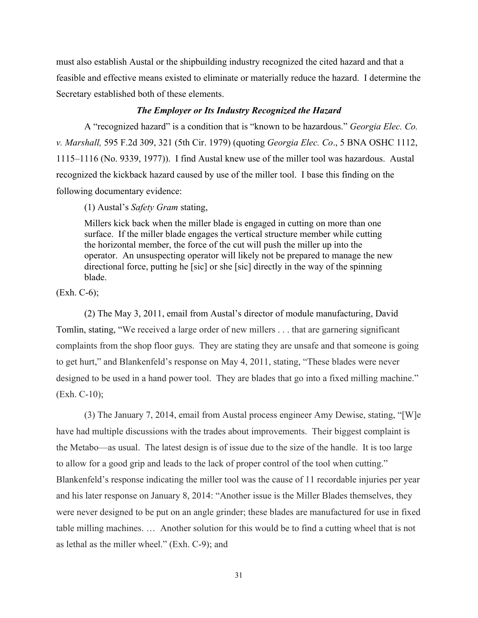must also establish Austal or the shipbuilding industry recognized the cited hazard and that a feasible and effective means existed to eliminate or materially reduce the hazard. I determine the Secretary established both of these elements.

#### *The Employer or Its Industry Recognized the Hazard*

A "recognized hazard" is a condition that is "known to be hazardous." *Georgia Elec. Co. v. Marshall,* 595 F.2d 309, 321 (5th Cir. 1979) (quoting *Georgia Elec. Co*., 5 BNA OSHC 1112, 1115–1116 (No. 9339, 1977)). I find Austal knew use of the miller tool was hazardous. Austal recognized the kickback hazard caused by use of the miller tool. I base this finding on the following documentary evidence:

(1) Austal's *Safety Gram* stating,

Millers kick back when the miller blade is engaged in cutting on more than one surface. If the miller blade engages the vertical structure member while cutting the horizontal member, the force of the cut will push the miller up into the operator. An unsuspecting operator will likely not be prepared to manage the new directional force, putting he [sic] or she [sic] directly in the way of the spinning blade.

(Exh. C-6);

(2) The May 3, 2011, email from Austal's director of module manufacturing, David Tomlin, stating, "We received a large order of new millers . . . that are garnering significant complaints from the shop floor guys. They are stating they are unsafe and that someone is going to get hurt," and Blankenfeld's response on May 4, 2011, stating, "These blades were never designed to be used in a hand power tool. They are blades that go into a fixed milling machine." (Exh. C-10);

(3) The January 7, 2014, email from Austal process engineer Amy Dewise, stating, "[W]e have had multiple discussions with the trades about improvements. Their biggest complaint is the Metabo—as usual. The latest design is of issue due to the size of the handle. It is too large to allow for a good grip and leads to the lack of proper control of the tool when cutting." Blankenfeld's response indicating the miller tool was the cause of 11 recordable injuries per year and his later response on January 8, 2014: "Another issue is the Miller Blades themselves, they were never designed to be put on an angle grinder; these blades are manufactured for use in fixed table milling machines. … Another solution for this would be to find a cutting wheel that is not as lethal as the miller wheel." (Exh. C-9); and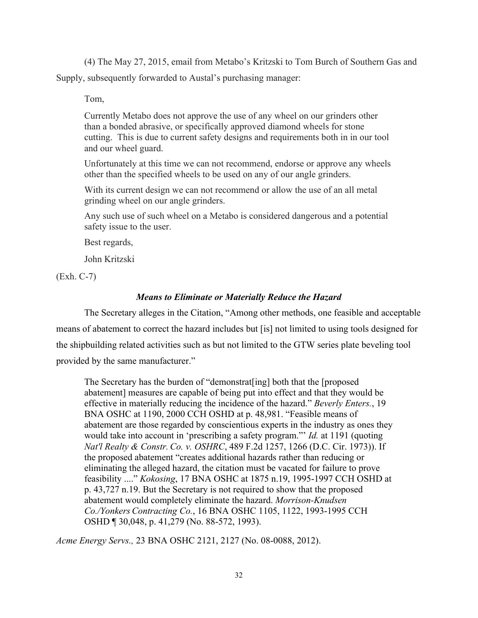(4) The May 27, 2015, email from Metabo's Kritzski to Tom Burch of Southern Gas and Supply, subsequently forwarded to Austal's purchasing manager:

Tom,

Currently Metabo does not approve the use of any wheel on our grinders other than a bonded abrasive, or specifically approved diamond wheels for stone cutting. This is due to current safety designs and requirements both in in our tool and our wheel guard.

Unfortunately at this time we can not recommend, endorse or approve any wheels other than the specified wheels to be used on any of our angle grinders.

With its current design we can not recommend or allow the use of an all metal grinding wheel on our angle grinders.

Any such use of such wheel on a Metabo is considered dangerous and a potential safety issue to the user.

Best regards,

John Kritzski

(Exh. C-7)

# *Means to Eliminate or Materially Reduce the Hazard*

The Secretary alleges in the Citation, "Among other methods, one feasible and acceptable means of abatement to correct the hazard includes but [is] not limited to using tools designed for the shipbuilding related activities such as but not limited to the GTW series plate beveling tool provided by the same manufacturer."

The Secretary has the burden of "demonstrat[ing] both that the [proposed abatement] measures are capable of being put into effect and that they would be effective in materially reducing the incidence of the hazard." *Beverly Enters.*, 19 BNA OSHC at 1190, 2000 CCH OSHD at p. 48,981. "Feasible means of abatement are those regarded by conscientious experts in the industry as ones they would take into account in 'prescribing a safety program."' *Id.* at 1191 (quoting *Nat'l Realty & Constr. Co. v. OSHRC*, 489 F.2d 1257, 1266 (D.C. Cir. 1973)). If the proposed abatement "creates additional hazards rather than reducing or eliminating the alleged hazard, the citation must be vacated for failure to prove feasibility ...." *Kokosing*, 17 BNA OSHC at 1875 n.19, 1995-1997 CCH OSHD at p. 43,727 n.19. But the Secretary is not required to show that the proposed abatement would completely eliminate the hazard. *Morrison-Knudsen Co./Yonkers Contracting Co.*, 16 BNA OSHC 1105, 1122, 1993-1995 CCH OSHD ¶ 30,048, p. 41,279 (No. 88-572, 1993).

*Acme Energy Servs.,* 23 BNA OSHC 2121, 2127 (No. 08-0088, 2012).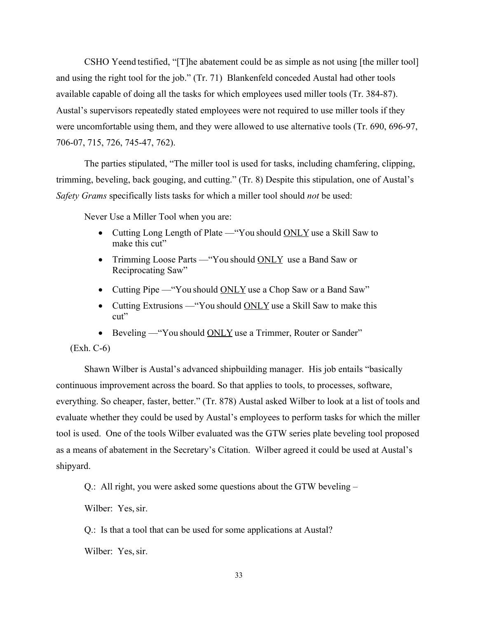CSHO Yeend testified, "[T]he abatement could be as simple as not using [the miller tool] and using the right tool for the job." (Tr. 71) Blankenfeld conceded Austal had other tools available capable of doing all the tasks for which employees used miller tools (Tr. 384-87). Austal's supervisors repeatedly stated employees were not required to use miller tools if they were uncomfortable using them, and they were allowed to use alternative tools (Tr. 690, 696-97, 706-07, 715, 726, 745-47, 762).

The parties stipulated, "The miller tool is used for tasks, including chamfering, clipping, trimming, beveling, back gouging, and cutting." (Tr. 8) Despite this stipulation, one of Austal's *Safety Grams* specifically lists tasks for which a miller tool should *not* be used:

Never Use a Miller Tool when you are:

- Cutting Long Length of Plate "You should ONLY use a Skill Saw to make this cut"
- Trimming Loose Parts "You should ONLY use a Band Saw or Reciprocating Saw"
- Cutting Pipe "You should ONLY use a Chop Saw or a Band Saw"
- Cutting Extrusions "You should ONLY use a Skill Saw to make this cut"
- Beveling "You should ONLY use a Trimmer, Router or Sander"

(Exh. C-6)

Shawn Wilber is Austal's advanced shipbuilding manager. His job entails "basically continuous improvement across the board. So that applies to tools, to processes, software, everything. So cheaper, faster, better." (Tr. 878) Austal asked Wilber to look at a list of tools and evaluate whether they could be used by Austal's employees to perform tasks for which the miller tool is used. One of the tools Wilber evaluated was the GTW series plate beveling tool proposed as a means of abatement in the Secretary's Citation. Wilber agreed it could be used at Austal's shipyard.

Q.: All right, you were asked some questions about the GTW beveling –

Wilber: Yes, sir.

Q.: Is that a tool that can be used for some applications at Austal?

Wilber: Yes, sir.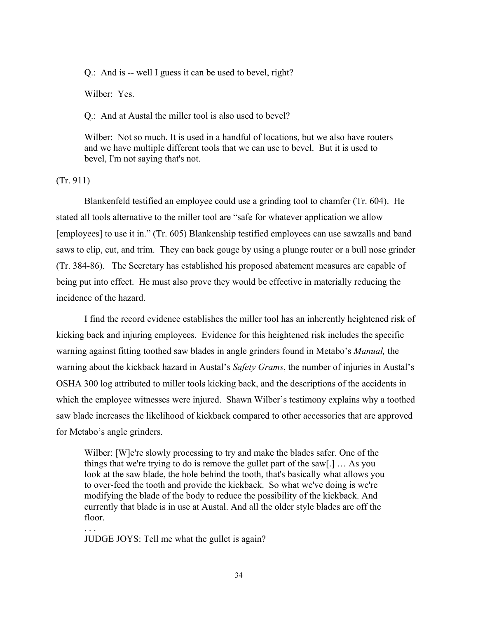Q.: And is -- well I guess it can be used to bevel, right?

Wilber: Yes.

Q.: And at Austal the miller tool is also used to bevel?

Wilber: Not so much. It is used in a handful of locations, but we also have routers and we have multiple different tools that we can use to bevel. But it is used to bevel, I'm not saying that's not.

(Tr. 911)

Blankenfeld testified an employee could use a grinding tool to chamfer (Tr. 604). He stated all tools alternative to the miller tool are "safe for whatever application we allow [employees] to use it in." (Tr. 605) Blankenship testified employees can use sawzalls and band saws to clip, cut, and trim. They can back gouge by using a plunge router or a bull nose grinder (Tr. 384-86). The Secretary has established his proposed abatement measures are capable of being put into effect. He must also prove they would be effective in materially reducing the incidence of the hazard.

I find the record evidence establishes the miller tool has an inherently heightened risk of kicking back and injuring employees. Evidence for this heightened risk includes the specific warning against fitting toothed saw blades in angle grinders found in Metabo's *Manual,* the warning about the kickback hazard in Austal's *Safety Grams*, the number of injuries in Austal's OSHA 300 log attributed to miller tools kicking back, and the descriptions of the accidents in which the employee witnesses were injured. Shawn Wilber's testimony explains why a toothed saw blade increases the likelihood of kickback compared to other accessories that are approved for Metabo's angle grinders.

Wilber: [W]e're slowly processing to try and make the blades safer. One of the things that we're trying to do is remove the gullet part of the saw[.] … As you look at the saw blade, the hole behind the tooth, that's basically what allows you to over-feed the tooth and provide the kickback. So what we've doing is we're modifying the blade of the body to reduce the possibility of the kickback. And currently that blade is in use at Austal. And all the older style blades are off the floor.

JUDGE JOYS: Tell me what the gullet is again?

. . .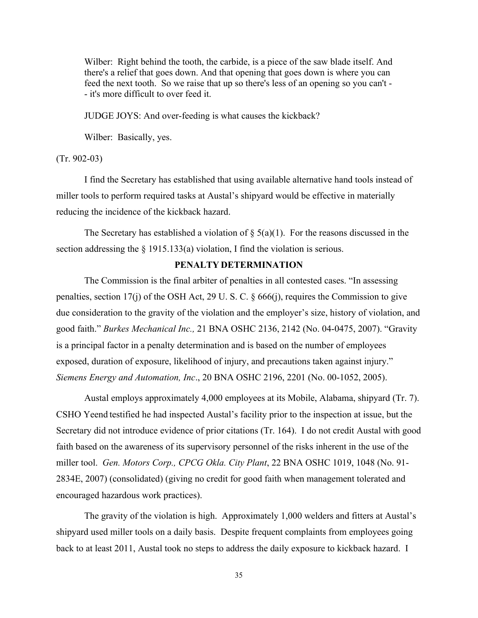Wilber: Right behind the tooth, the carbide, is a piece of the saw blade itself. And there's a relief that goes down. And that opening that goes down is where you can feed the next tooth. So we raise that up so there's less of an opening so you can't - - it's more difficult to over feed it.

JUDGE JOYS: And over-feeding is what causes the kickback?

Wilber: Basically, yes.

#### (Tr. 902-03)

I find the Secretary has established that using available alternative hand tools instead of miller tools to perform required tasks at Austal's shipyard would be effective in materially reducing the incidence of the kickback hazard.

The Secretary has established a violation of  $\S$  5(a)(1). For the reasons discussed in the section addressing the  $\S$  1915.133(a) violation, I find the violation is serious.

#### **PENALTY DETERMINATION**

The Commission is the final arbiter of penalties in all contested cases. "In assessing penalties, section 17(j) of the OSH Act, 29 U. S. C. § 666(j), requires the Commission to give due consideration to the gravity of the violation and the employer's size, history of violation, and good faith." *Burkes Mechanical Inc.,* 21 BNA OSHC 2136, 2142 (No. 04-0475, 2007). "Gravity is a principal factor in a penalty determination and is based on the number of employees exposed, duration of exposure, likelihood of injury, and precautions taken against injury." *Siemens Energy and Automation, Inc*., 20 BNA OSHC 2196, 2201 (No. 00-1052, 2005).

Austal employs approximately 4,000 employees at its Mobile, Alabama, shipyard (Tr. 7). CSHO Yeend testified he had inspected Austal's facility prior to the inspection at issue, but the Secretary did not introduce evidence of prior citations (Tr. 164). I do not credit Austal with good faith based on the awareness of its supervisory personnel of the risks inherent in the use of the miller tool. *Gen. Motors Corp., CPCG Okla. City Plant*, 22 BNA OSHC 1019, 1048 (No. 91- 2834E, 2007) (consolidated) (giving no credit for good faith when management tolerated and encouraged hazardous work practices).

The gravity of the violation is high. Approximately 1,000 welders and fitters at Austal's shipyard used miller tools on a daily basis. Despite frequent complaints from employees going back to at least 2011, Austal took no steps to address the daily exposure to kickback hazard. I